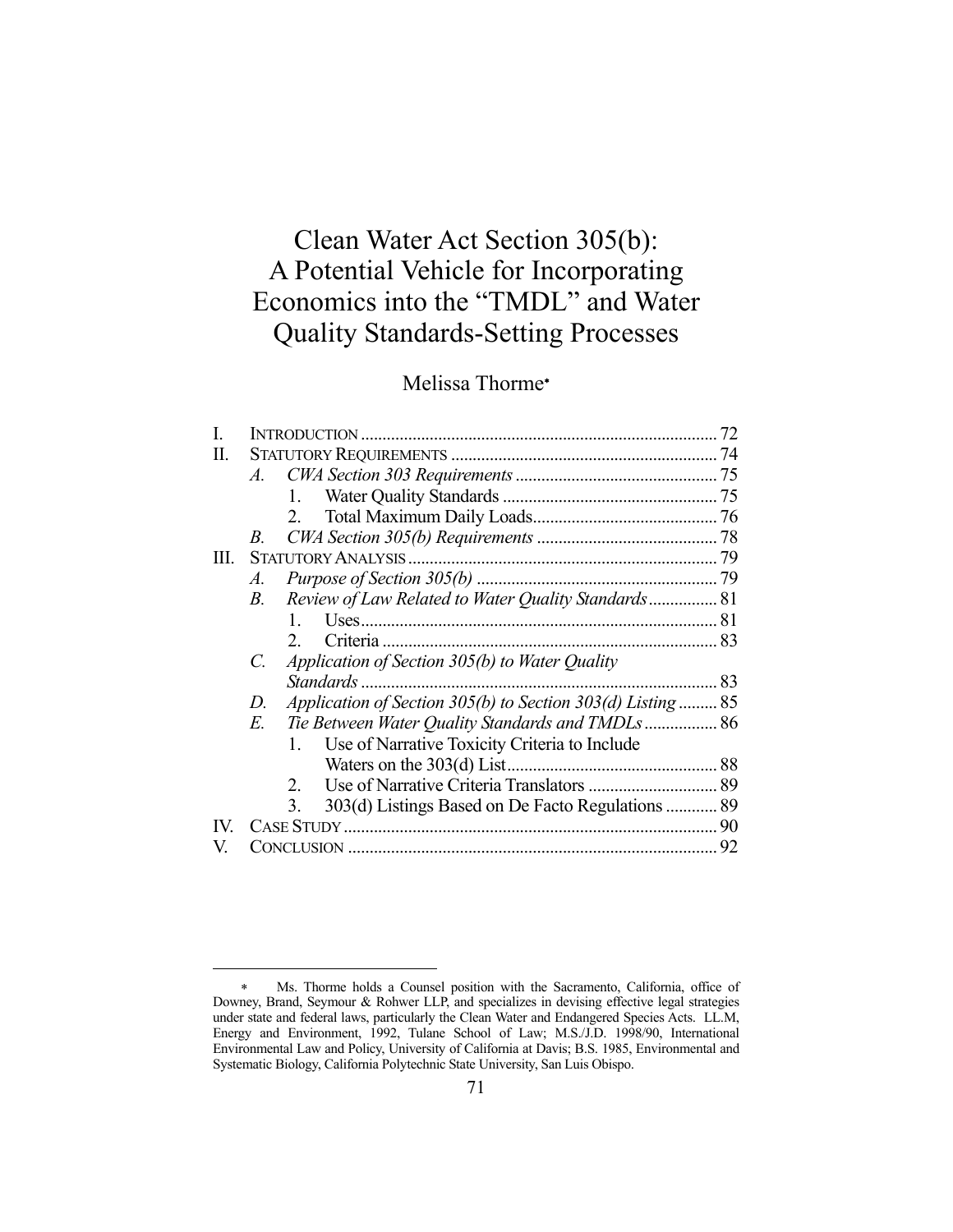# Clean Water Act Section 305(b): A Potential Vehicle for Incorporating Economics into the "TMDL" and Water Quality Standards-Setting Processes

# Melissa Thorme

|     |                                                                  | 72 |
|-----|------------------------------------------------------------------|----|
| П.  |                                                                  |    |
|     | $A$ .                                                            |    |
|     | 1.                                                               |    |
|     | 2.                                                               |    |
|     | В.                                                               |    |
| Ш.  |                                                                  |    |
|     | A.                                                               |    |
|     | Review of Law Related to Water Quality Standards 81<br>B.        |    |
|     | $\mathbf{1}$                                                     |    |
|     |                                                                  |    |
|     | Application of Section 305(b) to Water Quality<br>C.             |    |
|     | Standards                                                        |    |
|     | Application of Section 305(b) to Section 303(d) Listing 85<br>D. |    |
|     | Tie Between Water Quality Standards and TMDLs 86<br>E.           |    |
|     | Use of Narrative Toxicity Criteria to Include<br>$1_{-}$         |    |
|     |                                                                  |    |
|     | 2.                                                               |    |
|     | 303(d) Listings Based on De Facto Regulations  89<br>3.          |    |
| IV. | CASE STUDY.                                                      |    |
|     |                                                                  | 92 |

Ms. Thorme holds a Counsel position with the Sacramento, California, office of Downey, Brand, Seymour & Rohwer LLP, and specializes in devising effective legal strategies under state and federal laws, particularly the Clean Water and Endangered Species Acts. LL.M, Energy and Environment, 1992, Tulane School of Law; M.S./J.D. 1998/90, International Environmental Law and Policy, University of California at Davis; B.S. 1985, Environmental and Systematic Biology, California Polytechnic State University, San Luis Obispo.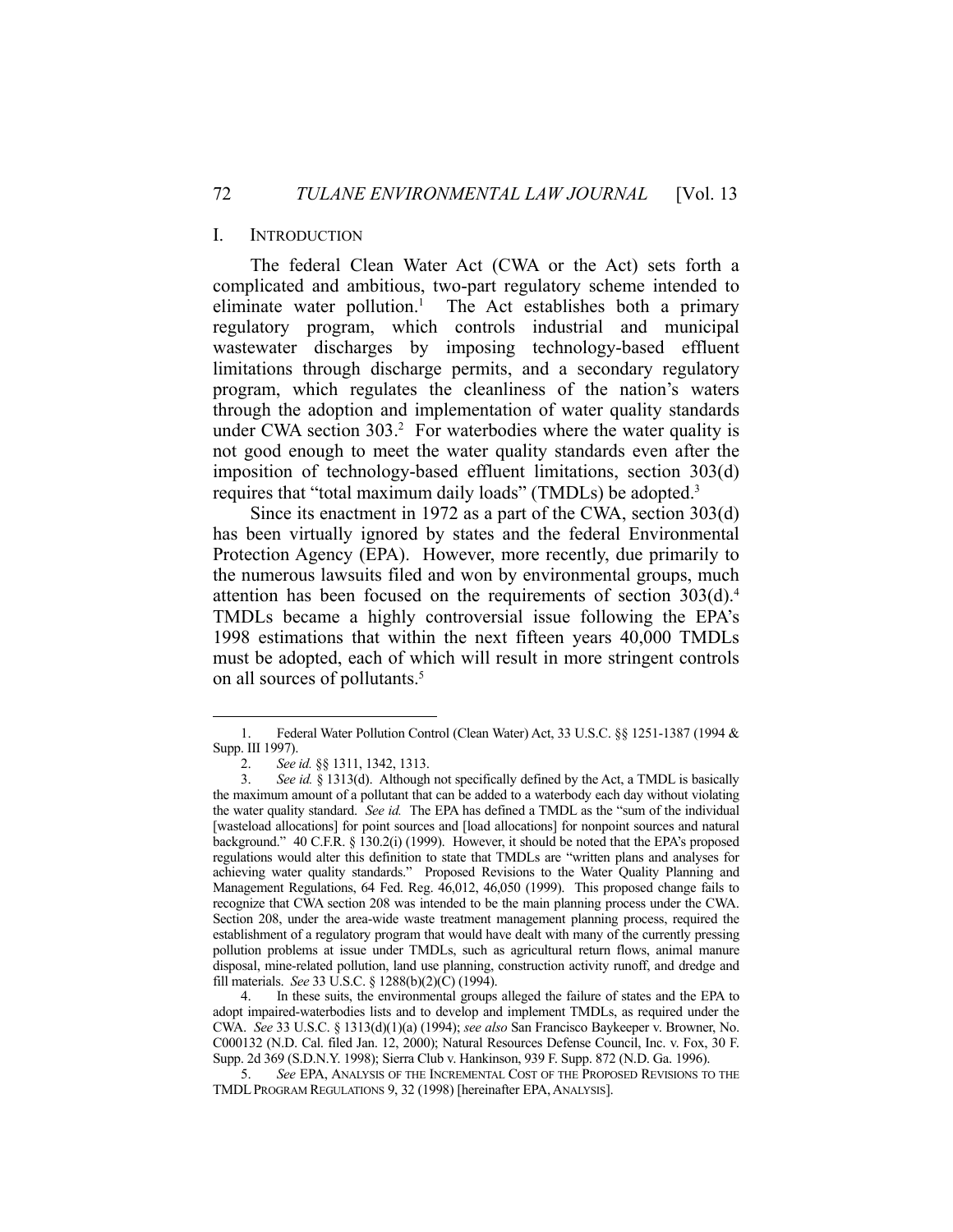#### I. INTRODUCTION

 The federal Clean Water Act (CWA or the Act) sets forth a complicated and ambitious, two-part regulatory scheme intended to eliminate water pollution.<sup>1</sup> The Act establishes both a primary regulatory program, which controls industrial and municipal wastewater discharges by imposing technology-based effluent limitations through discharge permits, and a secondary regulatory program, which regulates the cleanliness of the nation's waters through the adoption and implementation of water quality standards under CWA section  $303<sup>2</sup>$  For waterbodies where the water quality is not good enough to meet the water quality standards even after the imposition of technology-based effluent limitations, section 303(d) requires that "total maximum daily loads" (TMDLs) be adopted.<sup>3</sup>

 Since its enactment in 1972 as a part of the CWA, section 303(d) has been virtually ignored by states and the federal Environmental Protection Agency (EPA). However, more recently, due primarily to the numerous lawsuits filed and won by environmental groups, much attention has been focused on the requirements of section  $303(d).4$ TMDLs became a highly controversial issue following the EPA's 1998 estimations that within the next fifteen years 40,000 TMDLs must be adopted, each of which will result in more stringent controls on all sources of pollutants.<sup>5</sup>

 <sup>1.</sup> Federal Water Pollution Control (Clean Water) Act, 33 U.S.C. §§ 1251-1387 (1994 & Supp. III 1997).

 <sup>2.</sup> *See id.* §§ 1311, 1342, 1313.

 <sup>3.</sup> *See id.* § 1313(d). Although not specifically defined by the Act, a TMDL is basically the maximum amount of a pollutant that can be added to a waterbody each day without violating the water quality standard. *See id.* The EPA has defined a TMDL as the "sum of the individual [wasteload allocations] for point sources and [load allocations] for nonpoint sources and natural background." 40 C.F.R. § 130.2(i) (1999). However, it should be noted that the EPA's proposed regulations would alter this definition to state that TMDLs are "written plans and analyses for achieving water quality standards." Proposed Revisions to the Water Quality Planning and Management Regulations, 64 Fed. Reg. 46,012, 46,050 (1999). This proposed change fails to recognize that CWA section 208 was intended to be the main planning process under the CWA. Section 208, under the area-wide waste treatment management planning process, required the establishment of a regulatory program that would have dealt with many of the currently pressing pollution problems at issue under TMDLs, such as agricultural return flows, animal manure disposal, mine-related pollution, land use planning, construction activity runoff, and dredge and fill materials. *See* 33 U.S.C. § 1288(b)(2)(C) (1994).

 <sup>4.</sup> In these suits, the environmental groups alleged the failure of states and the EPA to adopt impaired-waterbodies lists and to develop and implement TMDLs, as required under the CWA. *See* 33 U.S.C. § 1313(d)(1)(a) (1994); *see also* San Francisco Baykeeper v. Browner, No. C000132 (N.D. Cal. filed Jan. 12, 2000); Natural Resources Defense Council, Inc. v. Fox, 30 F. Supp. 2d 369 (S.D.N.Y. 1998); Sierra Club v. Hankinson, 939 F. Supp. 872 (N.D. Ga. 1996).

 <sup>5.</sup> *See* EPA, ANALYSIS OF THE INCREMENTAL COST OF THE PROPOSED REVISIONS TO THE TMDLPROGRAM REGULATIONS 9, 32 (1998) [hereinafter EPA,ANALYSIS].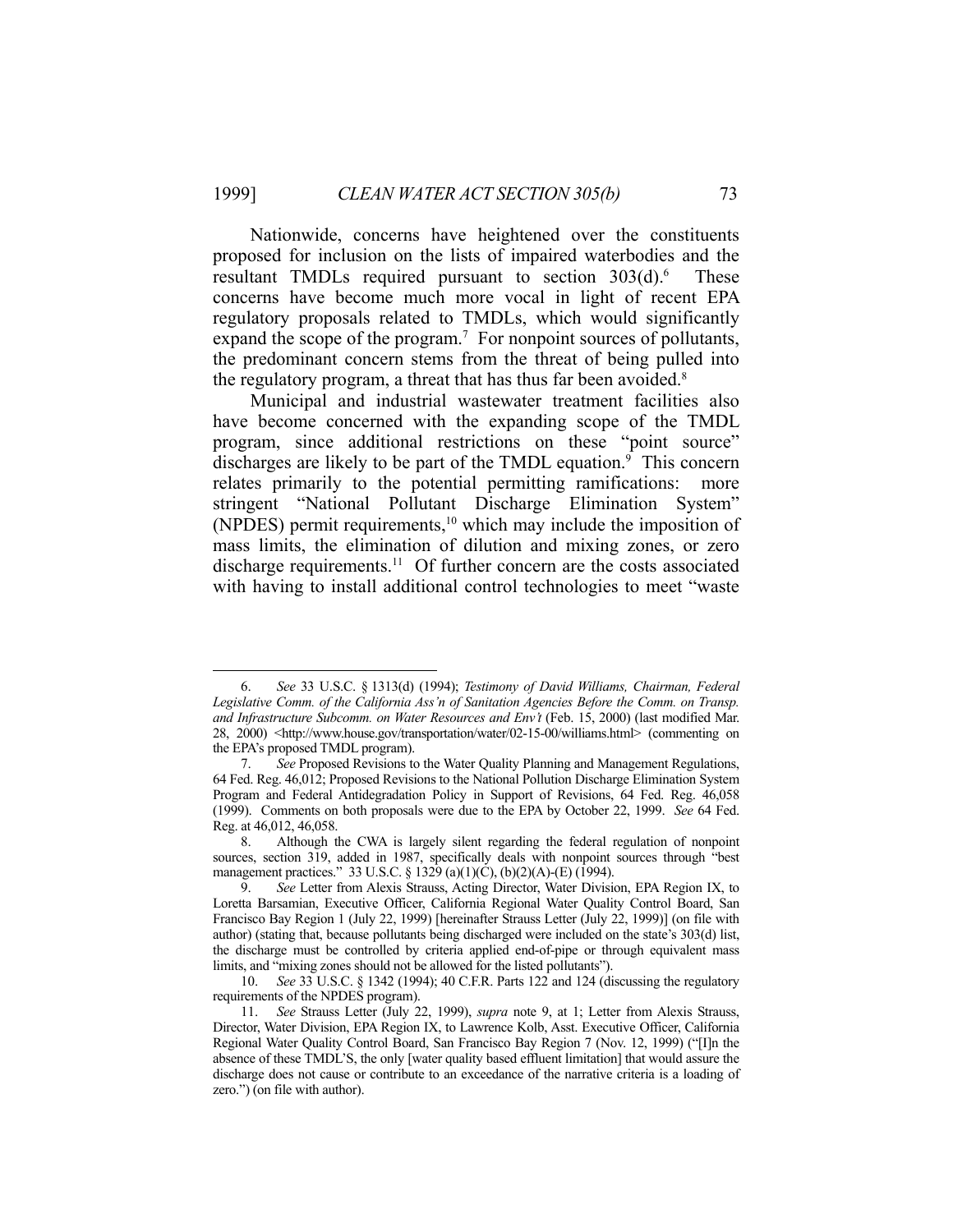1

 Nationwide, concerns have heightened over the constituents proposed for inclusion on the lists of impaired waterbodies and the resultant TMDLs required pursuant to section 303(d).<sup>6</sup> These concerns have become much more vocal in light of recent EPA regulatory proposals related to TMDLs, which would significantly expand the scope of the program.<sup>7</sup> For nonpoint sources of pollutants, the predominant concern stems from the threat of being pulled into the regulatory program, a threat that has thus far been avoided.<sup>8</sup>

 Municipal and industrial wastewater treatment facilities also have become concerned with the expanding scope of the TMDL program, since additional restrictions on these "point source" discharges are likely to be part of the TMDL equation.<sup>9</sup> This concern relates primarily to the potential permitting ramifications: more stringent "National Pollutant Discharge Elimination System" (NPDES) permit requirements,<sup>10</sup> which may include the imposition of mass limits, the elimination of dilution and mixing zones, or zero discharge requirements.<sup>11</sup> Of further concern are the costs associated with having to install additional control technologies to meet "waste

 <sup>6.</sup> *See* 33 U.S.C. § 1313(d) (1994); *Testimony of David Williams, Chairman, Federal*  Legislative Comm. of the California Ass'n of Sanitation Agencies Before the Comm. on Transp. and Infrastructure Subcomm. on Water Resources and Env't (Feb. 15, 2000) (last modified Mar. 28, 2000) <http://www.house.gov/transportation/water/02-15-00/williams.html> (commenting on the EPA's proposed TMDL program).

 <sup>7.</sup> *See* Proposed Revisions to the Water Quality Planning and Management Regulations, 64 Fed. Reg. 46,012; Proposed Revisions to the National Pollution Discharge Elimination System Program and Federal Antidegradation Policy in Support of Revisions, 64 Fed. Reg. 46,058 (1999). Comments on both proposals were due to the EPA by October 22, 1999. *See* 64 Fed. Reg. at 46,012, 46,058.

 <sup>8.</sup> Although the CWA is largely silent regarding the federal regulation of nonpoint sources, section 319, added in 1987, specifically deals with nonpoint sources through "best management practices." 33 U.S.C. § 1329 (a)(1)(C), (b)(2)(A)-(E) (1994).

 <sup>9.</sup> *See* Letter from Alexis Strauss, Acting Director, Water Division, EPA Region IX, to Loretta Barsamian, Executive Officer, California Regional Water Quality Control Board, San Francisco Bay Region 1 (July 22, 1999) [hereinafter Strauss Letter (July 22, 1999)] (on file with author) (stating that, because pollutants being discharged were included on the state's 303(d) list, the discharge must be controlled by criteria applied end-of-pipe or through equivalent mass limits, and "mixing zones should not be allowed for the listed pollutants").

 <sup>10.</sup> *See* 33 U.S.C. § 1342 (1994); 40 C.F.R. Parts 122 and 124 (discussing the regulatory requirements of the NPDES program).

 <sup>11.</sup> *See* Strauss Letter (July 22, 1999), *supra* note 9, at 1; Letter from Alexis Strauss, Director, Water Division, EPA Region IX, to Lawrence Kolb, Asst. Executive Officer, California Regional Water Quality Control Board, San Francisco Bay Region 7 (Nov. 12, 1999) ("[I]n the absence of these TMDL'S, the only [water quality based effluent limitation] that would assure the discharge does not cause or contribute to an exceedance of the narrative criteria is a loading of zero.") (on file with author).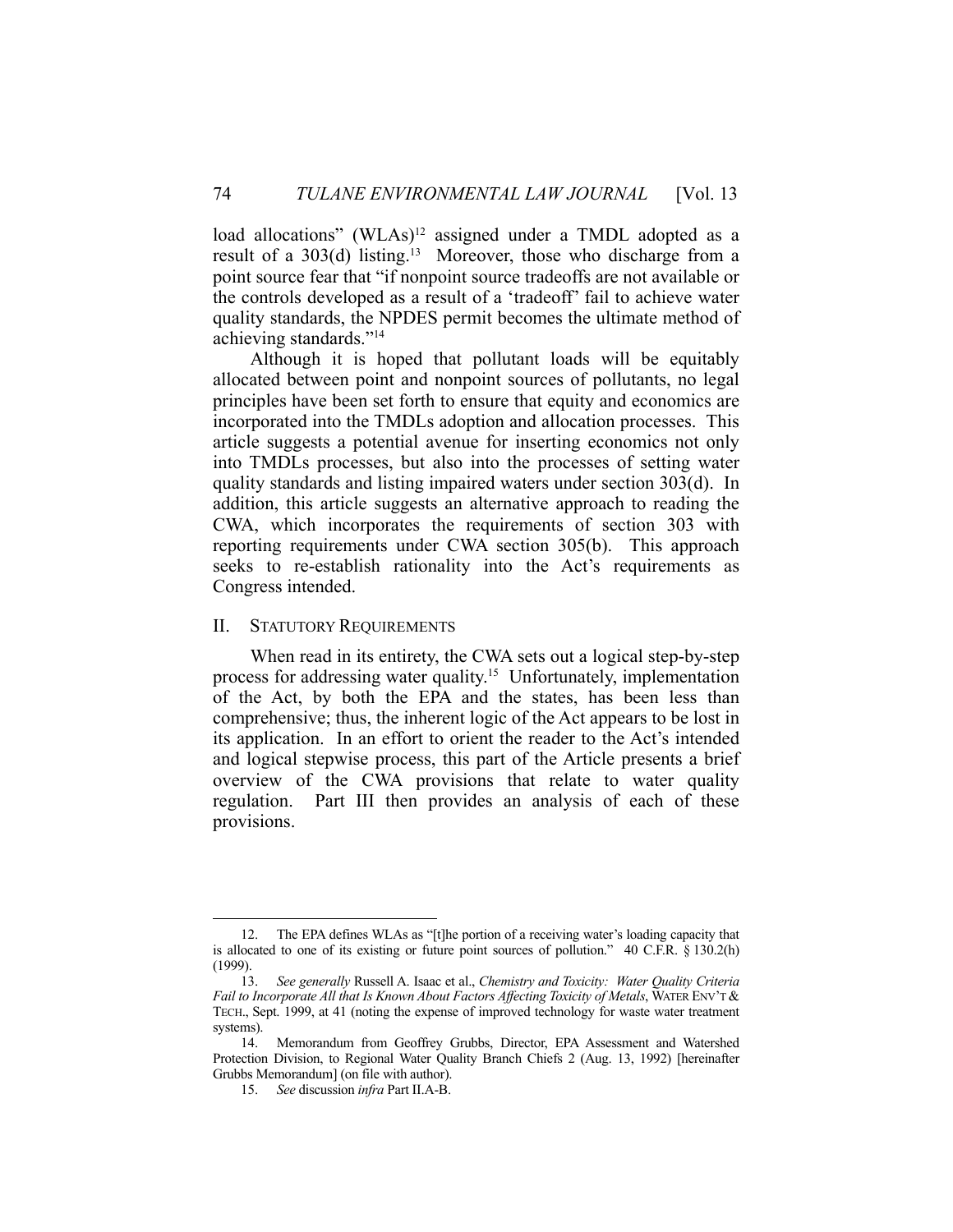load allocations" (WLAs)<sup>12</sup> assigned under a TMDL adopted as a result of a 303(d) listing.<sup>13</sup> Moreover, those who discharge from a point source fear that "if nonpoint source tradeoffs are not available or the controls developed as a result of a 'tradeoff' fail to achieve water quality standards, the NPDES permit becomes the ultimate method of achieving standards."14

 Although it is hoped that pollutant loads will be equitably allocated between point and nonpoint sources of pollutants, no legal principles have been set forth to ensure that equity and economics are incorporated into the TMDLs adoption and allocation processes. This article suggests a potential avenue for inserting economics not only into TMDLs processes, but also into the processes of setting water quality standards and listing impaired waters under section 303(d). In addition, this article suggests an alternative approach to reading the CWA, which incorporates the requirements of section 303 with reporting requirements under CWA section 305(b). This approach seeks to re-establish rationality into the Act's requirements as Congress intended.

#### II. STATUTORY REQUIREMENTS

 When read in its entirety, the CWA sets out a logical step-by-step process for addressing water quality.15 Unfortunately, implementation of the Act, by both the EPA and the states, has been less than comprehensive; thus, the inherent logic of the Act appears to be lost in its application. In an effort to orient the reader to the Act's intended and logical stepwise process, this part of the Article presents a brief overview of the CWA provisions that relate to water quality regulation. Part III then provides an analysis of each of these provisions.

 <sup>12.</sup> The EPA defines WLAs as "[t]he portion of a receiving water's loading capacity that is allocated to one of its existing or future point sources of pollution." 40 C.F.R. § 130.2(h) (1999).

 <sup>13.</sup> *See generally* Russell A. Isaac et al., *Chemistry and Toxicity: Water Quality Criteria Fail to Incorporate All that Is Known About Factors Affecting Toxicity of Metals*, WATER ENV'T & TECH., Sept. 1999, at 41 (noting the expense of improved technology for waste water treatment systems).

 <sup>14.</sup> Memorandum from Geoffrey Grubbs, Director, EPA Assessment and Watershed Protection Division, to Regional Water Quality Branch Chiefs 2 (Aug. 13, 1992) [hereinafter Grubbs Memorandum] (on file with author).

 <sup>15.</sup> *See* discussion *infra* Part II.A-B.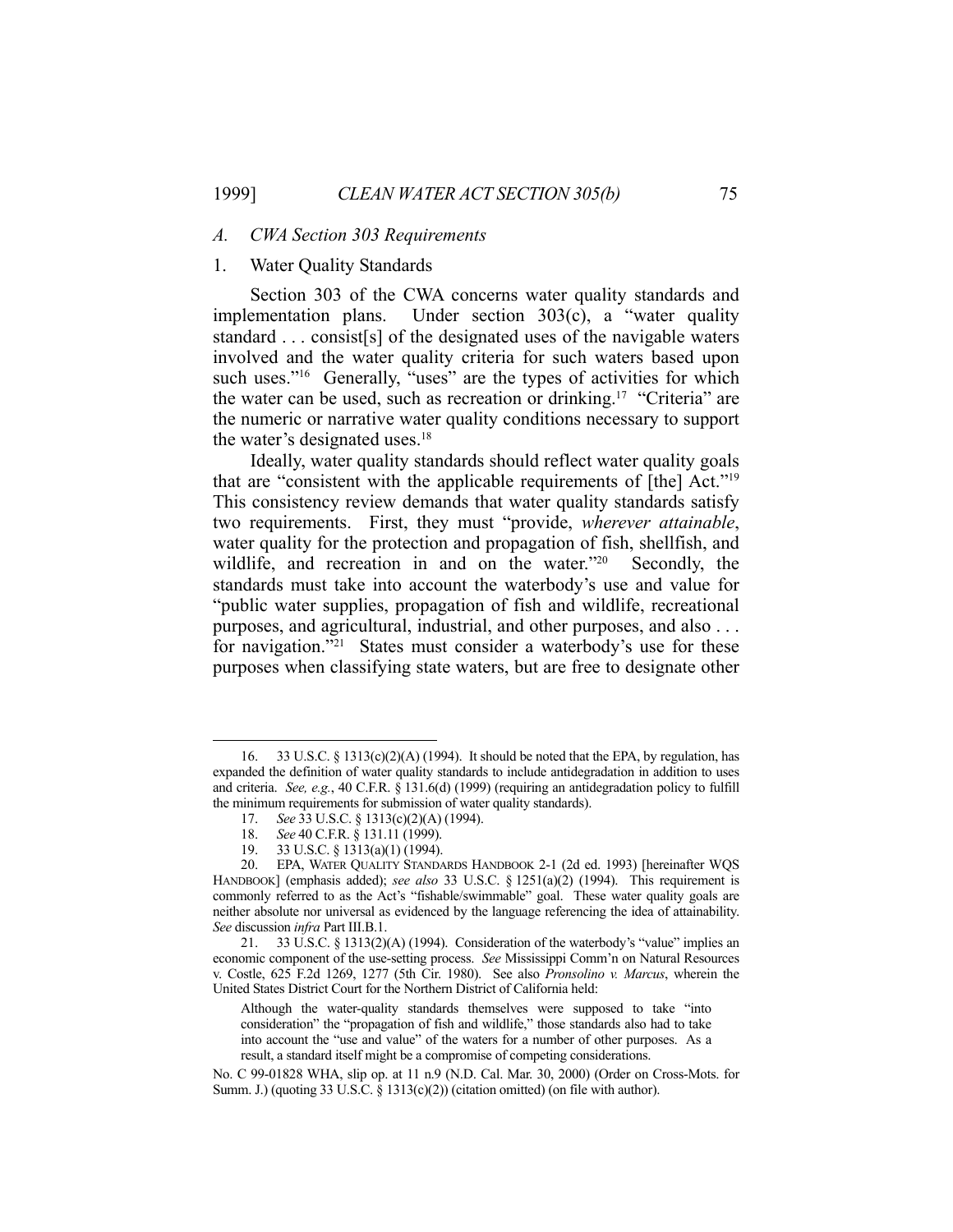# *A. CWA Section 303 Requirements*

# 1. Water Quality Standards

 Section 303 of the CWA concerns water quality standards and implementation plans. Under section 303(c), a "water quality standard . . . consist[s] of the designated uses of the navigable waters involved and the water quality criteria for such waters based upon such uses."<sup>16</sup> Generally, "uses" are the types of activities for which the water can be used, such as recreation or drinking.17 "Criteria" are the numeric or narrative water quality conditions necessary to support the water's designated uses.18

 Ideally, water quality standards should reflect water quality goals that are "consistent with the applicable requirements of [the] Act."19 This consistency review demands that water quality standards satisfy two requirements. First, they must "provide, *wherever attainable*, water quality for the protection and propagation of fish, shellfish, and wildlife, and recreation in and on the water."<sup>20</sup> Secondly, the standards must take into account the waterbody's use and value for "public water supplies, propagation of fish and wildlife, recreational purposes, and agricultural, industrial, and other purposes, and also . . . for navigation."<sup>21</sup> States must consider a waterbody's use for these purposes when classifying state waters, but are free to designate other

<sup>16. 33</sup> U.S.C. § 1313(c)(2)(A) (1994). It should be noted that the EPA, by regulation, has expanded the definition of water quality standards to include antidegradation in addition to uses and criteria. *See, e.g.*, 40 C.F.R. § 131.6(d) (1999) (requiring an antidegradation policy to fulfill the minimum requirements for submission of water quality standards).

 <sup>17.</sup> *See* 33 U.S.C. § 1313(c)(2)(A) (1994).

 <sup>18.</sup> *See* 40 C.F.R. § 131.11 (1999).

 <sup>19. 33</sup> U.S.C. § 1313(a)(1) (1994).

 <sup>20.</sup> EPA, WATER QUALITY STANDARDS HANDBOOK 2-1 (2d ed. 1993) [hereinafter WQS HANDBOOK] (emphasis added); *see also* 33 U.S.C. § 1251(a)(2) (1994). This requirement is commonly referred to as the Act's "fishable/swimmable" goal. These water quality goals are neither absolute nor universal as evidenced by the language referencing the idea of attainability. *See* discussion *infra* Part III.B.1.

 <sup>21. 33</sup> U.S.C. § 1313(2)(A) (1994). Consideration of the waterbody's "value" implies an economic component of the use-setting process. *See* Mississippi Comm'n on Natural Resources v. Costle, 625 F.2d 1269, 1277 (5th Cir. 1980). See also *Pronsolino v. Marcus*, wherein the United States District Court for the Northern District of California held:

Although the water-quality standards themselves were supposed to take "into consideration" the "propagation of fish and wildlife," those standards also had to take into account the "use and value" of the waters for a number of other purposes. As a result, a standard itself might be a compromise of competing considerations.

No. C 99-01828 WHA, slip op. at 11 n.9 (N.D. Cal. Mar. 30, 2000) (Order on Cross-Mots. for Summ. J.) (quoting 33 U.S.C.  $\S$  1313(c)(2)) (citation omitted) (on file with author).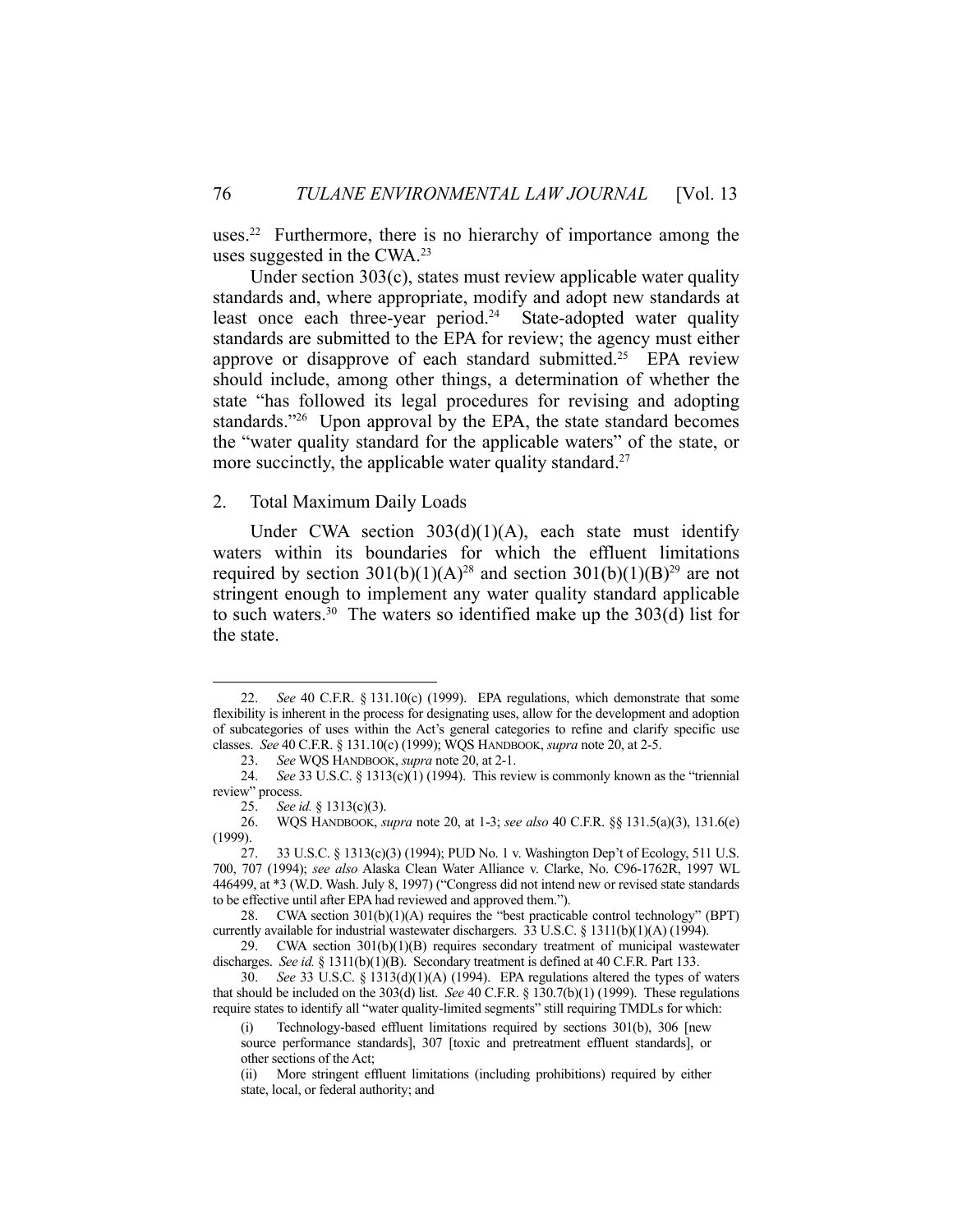uses.<sup>22</sup> Furthermore, there is no hierarchy of importance among the uses suggested in the CWA.23

 Under section 303(c), states must review applicable water quality standards and, where appropriate, modify and adopt new standards at least once each three-year period.<sup>24</sup> State-adopted water quality standards are submitted to the EPA for review; the agency must either approve or disapprove of each standard submitted.<sup>25</sup> EPA review should include, among other things, a determination of whether the state "has followed its legal procedures for revising and adopting standards."26 Upon approval by the EPA, the state standard becomes the "water quality standard for the applicable waters" of the state, or more succinctly, the applicable water quality standard.<sup>27</sup>

#### 2. Total Maximum Daily Loads

Under CWA section  $303(d)(1)(A)$ , each state must identify waters within its boundaries for which the effluent limitations required by section 301(b)(1)(A)<sup>28</sup> and section 301(b)(1)(B)<sup>29</sup> are not stringent enough to implement any water quality standard applicable to such waters.<sup>30</sup> The waters so identified make up the  $303(d)$  list for the state.

 <sup>22.</sup> *See* 40 C.F.R. § 131.10(c) (1999). EPA regulations, which demonstrate that some flexibility is inherent in the process for designating uses, allow for the development and adoption of subcategories of uses within the Act's general categories to refine and clarify specific use classes. *See* 40 C.F.R. § 131.10(c) (1999); WQS HANDBOOK, *supra* note 20, at 2-5.

 <sup>23.</sup> *See* WQS HANDBOOK, *supra* note 20, at 2-1.

 <sup>24.</sup> *See* 33 U.S.C. § 1313(c)(1) (1994). This review is commonly known as the "triennial review" process.

 <sup>25.</sup> *See id.* § 1313(c)(3).

 <sup>26.</sup> WQS HANDBOOK, *supra* note 20, at 1-3; *see also* 40 C.F.R. §§ 131.5(a)(3), 131.6(e) (1999).

 <sup>27. 33</sup> U.S.C. § 1313(c)(3) (1994); PUD No. 1 v. Washington Dep't of Ecology, 511 U.S. 700, 707 (1994); *see also* Alaska Clean Water Alliance v. Clarke, No. C96-1762R, 1997 WL 446499, at \*3 (W.D. Wash. July 8, 1997) ("Congress did not intend new or revised state standards to be effective until after EPA had reviewed and approved them.").

 <sup>28.</sup> CWA section 301(b)(1)(A) requires the "best practicable control technology" (BPT) currently available for industrial wastewater dischargers. 33 U.S.C. § 1311(b)(1)(A) (1994).

 <sup>29.</sup> CWA section 301(b)(1)(B) requires secondary treatment of municipal wastewater discharges. *See id.* § 1311(b)(1)(B). Secondary treatment is defined at 40 C.F.R. Part 133.

 <sup>30.</sup> *See* 33 U.S.C. § 1313(d)(1)(A) (1994). EPA regulations altered the types of waters that should be included on the 303(d) list. *See* 40 C.F.R. § 130.7(b)(1) (1999). These regulations require states to identify all "water quality-limited segments" still requiring TMDLs for which:

<sup>(</sup>i) Technology-based effluent limitations required by sections 301(b), 306 [new source performance standards], 307 [toxic and pretreatment effluent standards], or other sections of the Act;

<sup>(</sup>ii) More stringent effluent limitations (including prohibitions) required by either state, local, or federal authority; and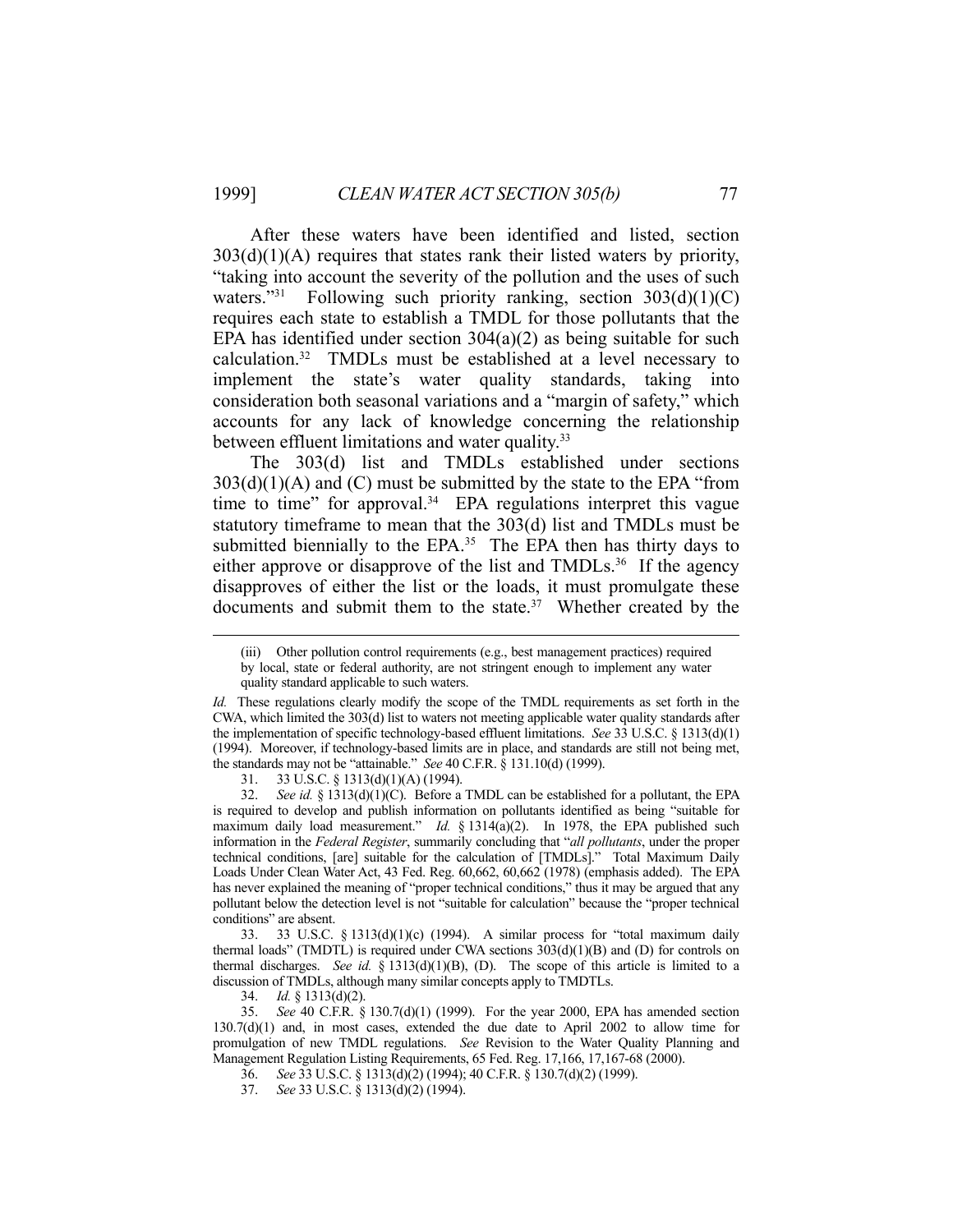After these waters have been identified and listed, section  $303(d)(1)(A)$  requires that states rank their listed waters by priority, "taking into account the severity of the pollution and the uses of such waters."<sup>31</sup> Following such priority ranking, section  $303(d)(1)(C)$ requires each state to establish a TMDL for those pollutants that the EPA has identified under section  $304(a)(2)$  as being suitable for such calculation.32 TMDLs must be established at a level necessary to implement the state's water quality standards, taking into consideration both seasonal variations and a "margin of safety," which accounts for any lack of knowledge concerning the relationship between effluent limitations and water quality.<sup>33</sup>

 The 303(d) list and TMDLs established under sections  $303(d)(1)(A)$  and (C) must be submitted by the state to the EPA "from time to time" for approval.<sup>34</sup> EPA regulations interpret this vague statutory timeframe to mean that the 303(d) list and TMDLs must be submitted biennially to the EPA. $35$  The EPA then has thirty days to either approve or disapprove of the list and  $\text{TMDLs}^{36}$  If the agency disapproves of either the list or the loads, it must promulgate these documents and submit them to the state.<sup>37</sup> Whether created by the

33. 33 U.S.C. §  $1313(d)(1)(c)$  (1994). A similar process for "total maximum daily thermal loads" (TMDTL) is required under CWA sections 303(d)(1)(B) and (D) for controls on thermal discharges. *See id.*  $\hat{\S}$  1313(d)(1)(B), (D). The scope of this article is limited to a discussion of TMDLs, although many similar concepts apply to TMDTLs.

34. *Id.* § 1313(d)(2).

 <sup>(</sup>iii) Other pollution control requirements (e.g., best management practices) required by local, state or federal authority, are not stringent enough to implement any water quality standard applicable to such waters.

*Id.* These regulations clearly modify the scope of the TMDL requirements as set forth in the CWA, which limited the 303(d) list to waters not meeting applicable water quality standards after the implementation of specific technology-based effluent limitations. *See* 33 U.S.C. § 1313(d)(1) (1994). Moreover, if technology-based limits are in place, and standards are still not being met, the standards may not be "attainable." *See* 40 C.F.R. § 131.10(d) (1999).

 <sup>31. 33</sup> U.S.C. § 1313(d)(1)(A) (1994).

 <sup>32.</sup> *See id.* § 1313(d)(1)(C). Before a TMDL can be established for a pollutant, the EPA is required to develop and publish information on pollutants identified as being "suitable for maximum daily load measurement." *Id.* § 1314(a)(2). In 1978, the EPA published such information in the *Federal Register*, summarily concluding that "*all pollutants*, under the proper technical conditions, [are] suitable for the calculation of [TMDLs]." Total Maximum Daily Loads Under Clean Water Act, 43 Fed. Reg. 60,662, 60,662 (1978) (emphasis added). The EPA has never explained the meaning of "proper technical conditions," thus it may be argued that any pollutant below the detection level is not "suitable for calculation" because the "proper technical conditions" are absent.

 <sup>35.</sup> *See* 40 C.F.R. § 130.7(d)(1) (1999). For the year 2000, EPA has amended section 130.7(d)(1) and, in most cases, extended the due date to April 2002 to allow time for promulgation of new TMDL regulations. *See* Revision to the Water Quality Planning and Management Regulation Listing Requirements, 65 Fed. Reg. 17,166, 17,167-68 (2000).

 <sup>36.</sup> *See* 33 U.S.C. § 1313(d)(2) (1994); 40 C.F.R. § 130.7(d)(2) (1999).

 <sup>37.</sup> *See* 33 U.S.C. § 1313(d)(2) (1994).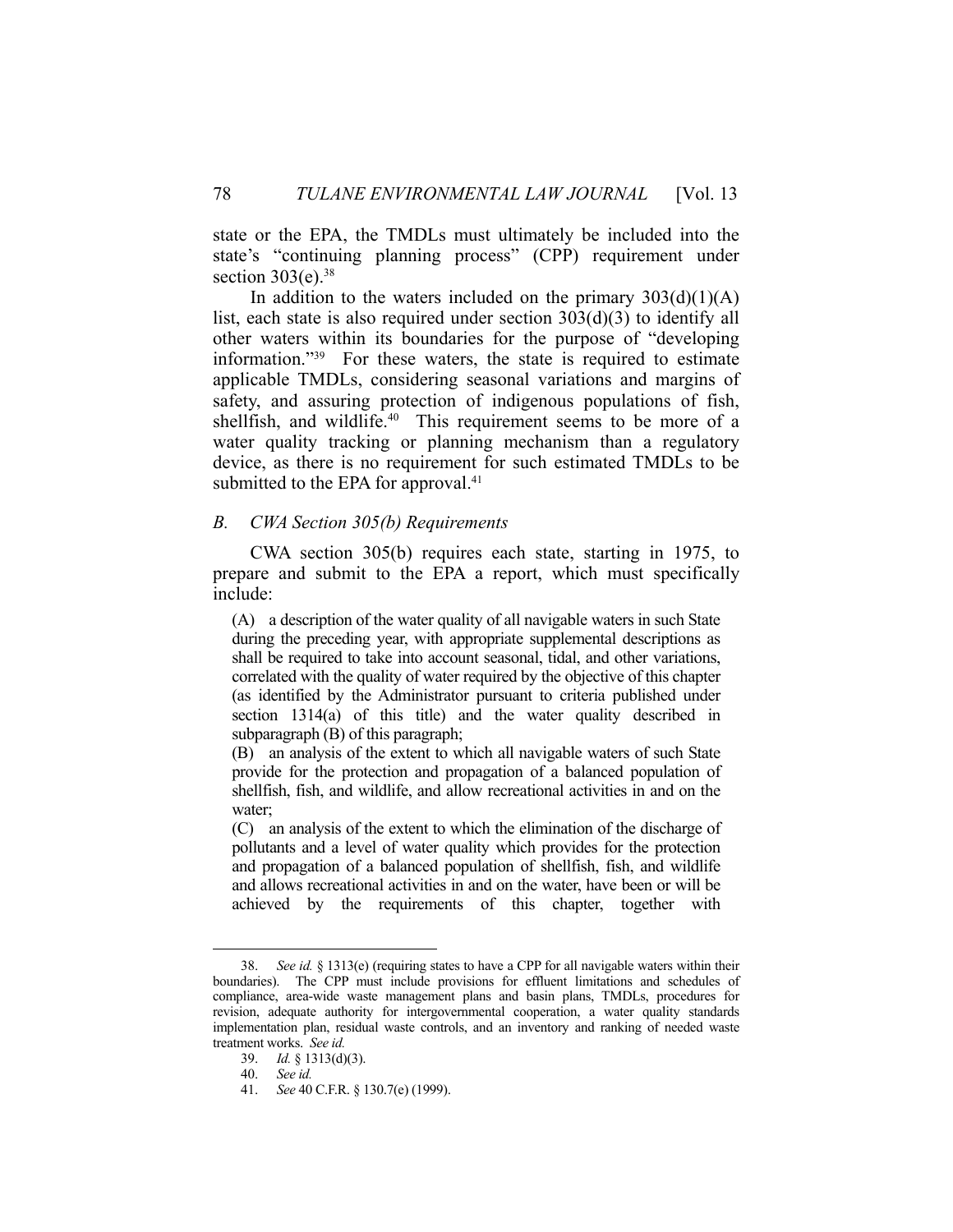state or the EPA, the TMDLs must ultimately be included into the state's "continuing planning process" (CPP) requirement under section  $303(e)$ .<sup>38</sup>

In addition to the waters included on the primary  $303(d)(1)(A)$ list, each state is also required under section 303(d)(3) to identify all other waters within its boundaries for the purpose of "developing information."39 For these waters, the state is required to estimate applicable TMDLs, considering seasonal variations and margins of safety, and assuring protection of indigenous populations of fish, shellfish, and wildlife.<sup>40</sup> This requirement seems to be more of a water quality tracking or planning mechanism than a regulatory device, as there is no requirement for such estimated TMDLs to be submitted to the EPA for approval.<sup>41</sup>

# *B. CWA Section 305(b) Requirements*

 CWA section 305(b) requires each state, starting in 1975, to prepare and submit to the EPA a report, which must specifically include:

(A) a description of the water quality of all navigable waters in such State during the preceding year, with appropriate supplemental descriptions as shall be required to take into account seasonal, tidal, and other variations, correlated with the quality of water required by the objective of this chapter (as identified by the Administrator pursuant to criteria published under section 1314(a) of this title) and the water quality described in subparagraph (B) of this paragraph;

(B) an analysis of the extent to which all navigable waters of such State provide for the protection and propagation of a balanced population of shellfish, fish, and wildlife, and allow recreational activities in and on the water;

(C) an analysis of the extent to which the elimination of the discharge of pollutants and a level of water quality which provides for the protection and propagation of a balanced population of shellfish, fish, and wildlife and allows recreational activities in and on the water, have been or will be achieved by the requirements of this chapter, together with

 <sup>38.</sup> *See id.* § 1313(e) (requiring states to have a CPP for all navigable waters within their boundaries). The CPP must include provisions for effluent limitations and schedules of compliance, area-wide waste management plans and basin plans, TMDLs, procedures for revision, adequate authority for intergovernmental cooperation, a water quality standards implementation plan, residual waste controls, and an inventory and ranking of needed waste treatment works. *See id.*

 <sup>39.</sup> *Id.* § 1313(d)(3).

 <sup>40.</sup> *See id.*

 <sup>41.</sup> *See* 40 C.F.R. § 130.7(e) (1999).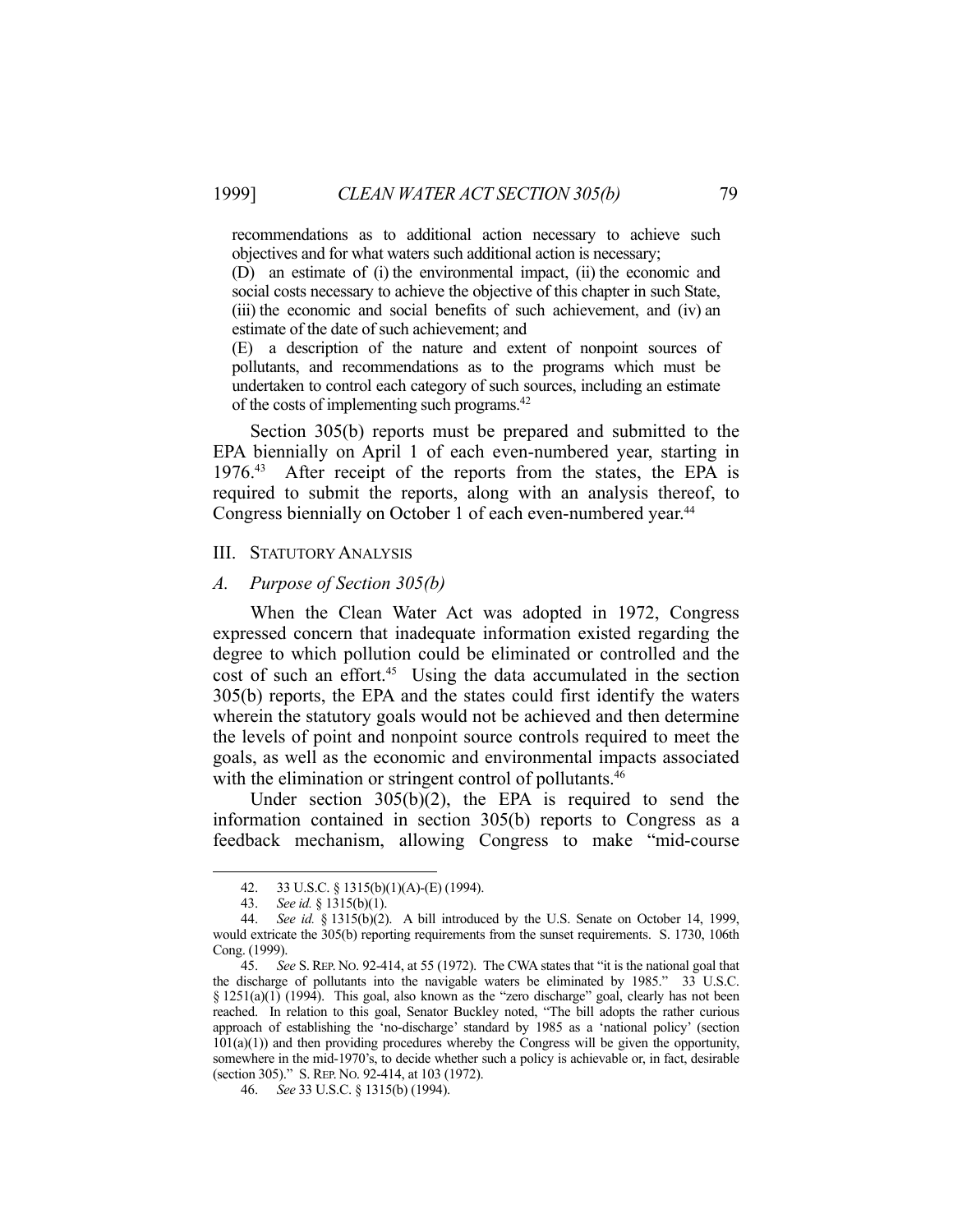recommendations as to additional action necessary to achieve such objectives and for what waters such additional action is necessary;

(D) an estimate of (i) the environmental impact, (ii) the economic and social costs necessary to achieve the objective of this chapter in such State, (iii) the economic and social benefits of such achievement, and (iv) an estimate of the date of such achievement; and

(E) a description of the nature and extent of nonpoint sources of pollutants, and recommendations as to the programs which must be undertaken to control each category of such sources, including an estimate of the costs of implementing such programs.42

 Section 305(b) reports must be prepared and submitted to the EPA biennially on April 1 of each even-numbered year, starting in 1976.43 After receipt of the reports from the states, the EPA is required to submit the reports, along with an analysis thereof, to Congress biennially on October 1 of each even-numbered year.<sup>44</sup>

#### III. STATUTORY ANALYSIS

#### *A. Purpose of Section 305(b)*

 When the Clean Water Act was adopted in 1972, Congress expressed concern that inadequate information existed regarding the degree to which pollution could be eliminated or controlled and the cost of such an effort.<sup>45</sup> Using the data accumulated in the section 305(b) reports, the EPA and the states could first identify the waters wherein the statutory goals would not be achieved and then determine the levels of point and nonpoint source controls required to meet the goals, as well as the economic and environmental impacts associated with the elimination or stringent control of pollutants.<sup>46</sup>

Under section  $305(b)(2)$ , the EPA is required to send the information contained in section 305(b) reports to Congress as a feedback mechanism, allowing Congress to make "mid-course

 <sup>42. 33</sup> U.S.C. § 1315(b)(1)(A)-(E) (1994).

 <sup>43.</sup> *See id.* § 1315(b)(1).

 <sup>44.</sup> *See id.* § 1315(b)(2). A bill introduced by the U.S. Senate on October 14, 1999, would extricate the 305(b) reporting requirements from the sunset requirements. S. 1730, 106th Cong. (1999).

 <sup>45.</sup> *See* S. REP. NO. 92-414, at 55 (1972). The CWA states that "it is the national goal that the discharge of pollutants into the navigable waters be eliminated by 1985." 33 U.S.C. § 1251(a)(1) (1994). This goal, also known as the "zero discharge" goal, clearly has not been reached. In relation to this goal, Senator Buckley noted, "The bill adopts the rather curious approach of establishing the 'no-discharge' standard by 1985 as a 'national policy' (section  $101(a)(1)$ ) and then providing procedures whereby the Congress will be given the opportunity, somewhere in the mid-1970's, to decide whether such a policy is achievable or, in fact, desirable (section 305)." S. REP. NO. 92-414, at 103 (1972).

 <sup>46.</sup> *See* 33 U.S.C. § 1315(b) (1994).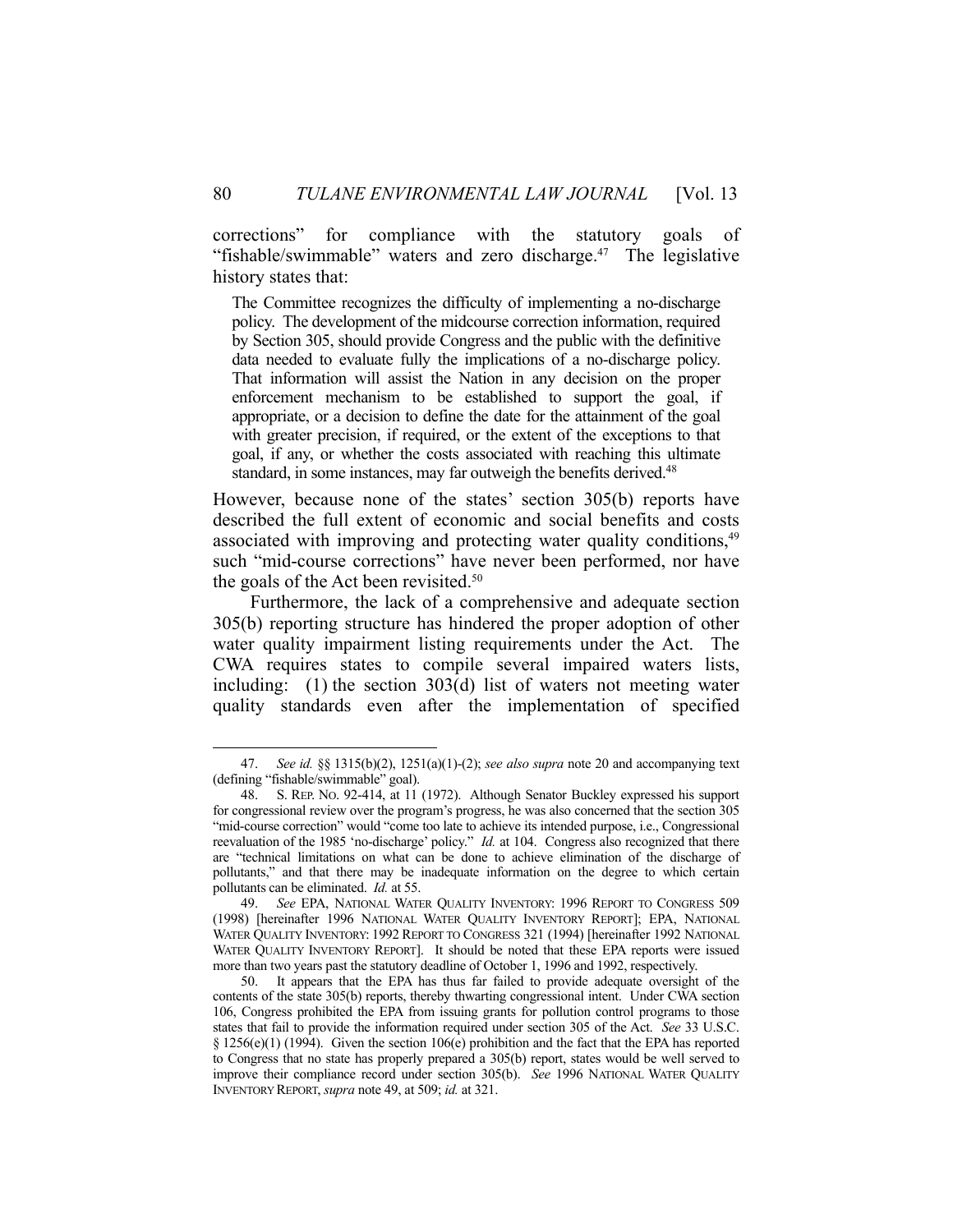corrections" for compliance with the statutory goals of "fishable/swimmable" waters and zero discharge. $47$  The legislative history states that:

The Committee recognizes the difficulty of implementing a no-discharge policy. The development of the midcourse correction information, required by Section 305, should provide Congress and the public with the definitive data needed to evaluate fully the implications of a no-discharge policy. That information will assist the Nation in any decision on the proper enforcement mechanism to be established to support the goal, if appropriate, or a decision to define the date for the attainment of the goal with greater precision, if required, or the extent of the exceptions to that goal, if any, or whether the costs associated with reaching this ultimate standard, in some instances, may far outweigh the benefits derived.<sup>48</sup>

However, because none of the states' section 305(b) reports have described the full extent of economic and social benefits and costs associated with improving and protecting water quality conditions,<sup>49</sup> such "mid-course corrections" have never been performed, nor have the goals of the Act been revisited.<sup>50</sup>

 Furthermore, the lack of a comprehensive and adequate section 305(b) reporting structure has hindered the proper adoption of other water quality impairment listing requirements under the Act. The CWA requires states to compile several impaired waters lists, including: (1) the section 303(d) list of waters not meeting water quality standards even after the implementation of specified

 <sup>47.</sup> *See id.* §§ 1315(b)(2), 1251(a)(1)-(2); *see also supra* note 20 and accompanying text (defining "fishable/swimmable" goal).

 <sup>48.</sup> S. REP. NO. 92-414, at 11 (1972). Although Senator Buckley expressed his support for congressional review over the program's progress, he was also concerned that the section 305 "mid-course correction" would "come too late to achieve its intended purpose, i.e., Congressional reevaluation of the 1985 'no-discharge' policy." *Id.* at 104. Congress also recognized that there are "technical limitations on what can be done to achieve elimination of the discharge of pollutants," and that there may be inadequate information on the degree to which certain pollutants can be eliminated. *Id.* at 55.

 <sup>49.</sup> *See* EPA, NATIONAL WATER QUALITY INVENTORY: 1996 REPORT TO CONGRESS 509 (1998) [hereinafter 1996 NATIONAL WATER QUALITY INVENTORY REPORT]; EPA, NATIONAL WATER QUALITY INVENTORY: 1992 REPORT TO CONGRESS 321 (1994) [hereinafter 1992 NATIONAL WATER QUALITY INVENTORY REPORT]. It should be noted that these EPA reports were issued more than two years past the statutory deadline of October 1, 1996 and 1992, respectively.

 <sup>50.</sup> It appears that the EPA has thus far failed to provide adequate oversight of the contents of the state 305(b) reports, thereby thwarting congressional intent. Under CWA section 106, Congress prohibited the EPA from issuing grants for pollution control programs to those states that fail to provide the information required under section 305 of the Act. *See* 33 U.S.C. § 1256(e)(1) (1994). Given the section 106(e) prohibition and the fact that the EPA has reported to Congress that no state has properly prepared a 305(b) report, states would be well served to improve their compliance record under section 305(b). *See* 1996 NATIONAL WATER QUALITY INVENTORY REPORT, *supra* note 49, at 509; *id.* at 321.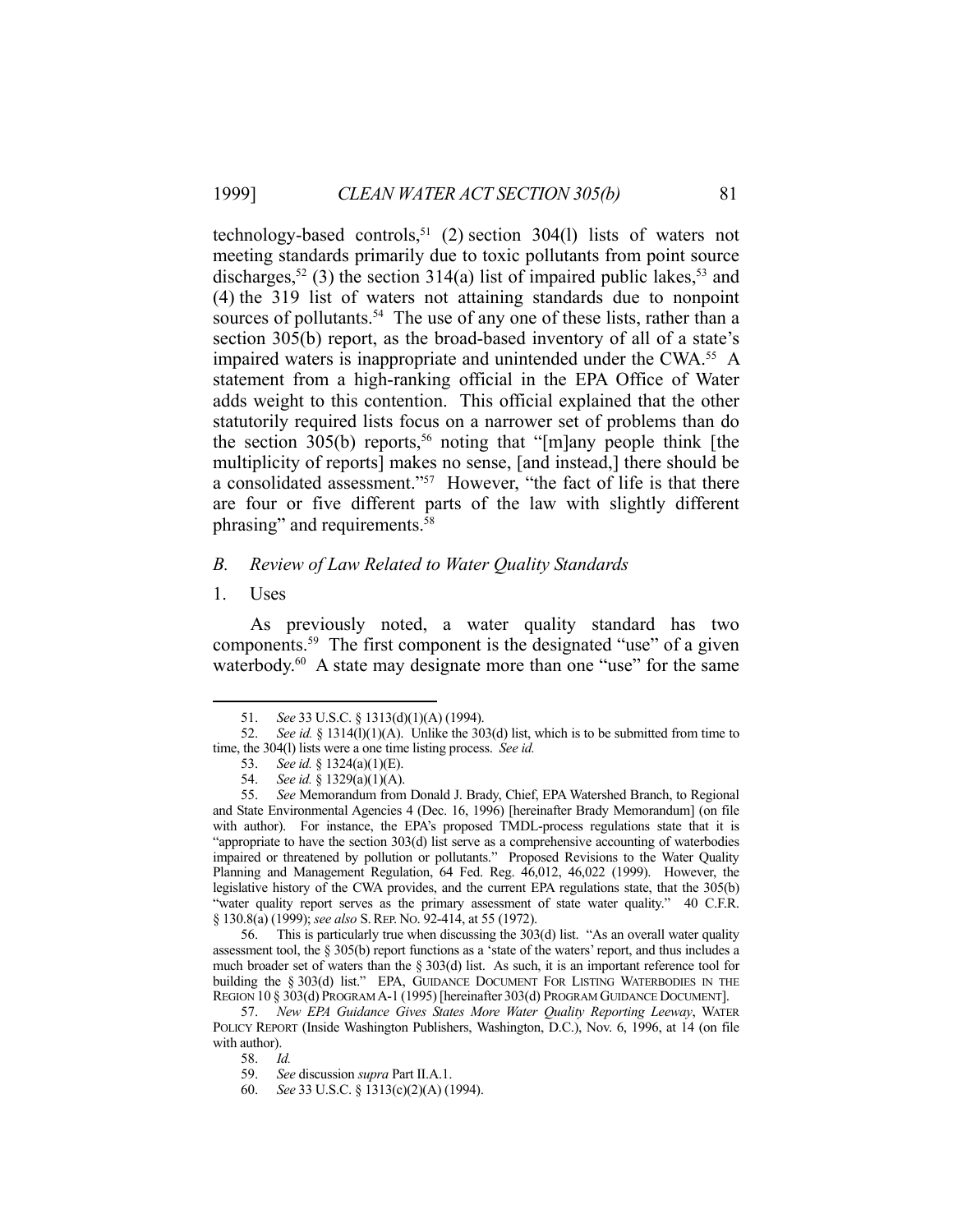technology-based controls,<sup>51</sup> (2) section 304(1) lists of waters not meeting standards primarily due to toxic pollutants from point source discharges,<sup>52</sup> (3) the section 314(a) list of impaired public lakes,<sup>53</sup> and (4) the 319 list of waters not attaining standards due to nonpoint sources of pollutants.<sup>54</sup> The use of any one of these lists, rather than a section 305(b) report, as the broad-based inventory of all of a state's impaired waters is inappropriate and unintended under the CWA.<sup>55</sup> A statement from a high-ranking official in the EPA Office of Water adds weight to this contention. This official explained that the other statutorily required lists focus on a narrower set of problems than do the section  $305(b)$  reports,<sup>56</sup> noting that "[m]any people think [the multiplicity of reports] makes no sense, [and instead,] there should be a consolidated assessment."<sup>57</sup> However, "the fact of life is that there are four or five different parts of the law with slightly different phrasing" and requirements.<sup>58</sup>

## *B. Review of Law Related to Water Quality Standards*

1. Uses

<u>.</u>

 As previously noted, a water quality standard has two components.59 The first component is the designated "use" of a given waterbody.<sup>60</sup> A state may designate more than one "use" for the same

 56. This is particularly true when discussing the 303(d) list. "As an overall water quality assessment tool, the § 305(b) report functions as a 'state of the waters' report, and thus includes a much broader set of waters than the  $\S 303(d)$  list. As such, it is an important reference tool for building the § 303(d) list." EPA, GUIDANCE DOCUMENT FOR LISTING WATERBODIES IN THE REGION 10 § 303(d) PROGRAM A-1 (1995) [hereinafter 303(d) PROGRAM GUIDANCE DOCUMENT].

 <sup>51.</sup> *See* 33 U.S.C. § 1313(d)(1)(A) (1994).

 <sup>52.</sup> *See id.* § 1314(l)(1)(A). Unlike the 303(d) list, which is to be submitted from time to time, the 304(l) lists were a one time listing process. *See id.*

 <sup>53.</sup> *See id.* § 1324(a)(1)(E).

 <sup>54.</sup> *See id.* § 1329(a)(1)(A).

 <sup>55.</sup> *See* Memorandum from Donald J. Brady, Chief, EPA Watershed Branch, to Regional and State Environmental Agencies 4 (Dec. 16, 1996) [hereinafter Brady Memorandum] (on file with author). For instance, the EPA's proposed TMDL-process regulations state that it is "appropriate to have the section 303(d) list serve as a comprehensive accounting of waterbodies impaired or threatened by pollution or pollutants." Proposed Revisions to the Water Quality Planning and Management Regulation, 64 Fed. Reg. 46,012, 46,022 (1999). However, the legislative history of the CWA provides, and the current EPA regulations state, that the 305(b) "water quality report serves as the primary assessment of state water quality." 40 C.F.R. § 130.8(a) (1999); *see also* S.REP. NO. 92-414, at 55 (1972).

 <sup>57.</sup> *New EPA Guidance Gives States More Water Quality Reporting Leeway*, WATER POLICY REPORT (Inside Washington Publishers, Washington, D.C.), Nov. 6, 1996, at 14 (on file with author).

 <sup>58.</sup> *Id.*

 <sup>59.</sup> *See* discussion *supra* Part II.A.1.

 <sup>60.</sup> *See* 33 U.S.C. § 1313(c)(2)(A) (1994).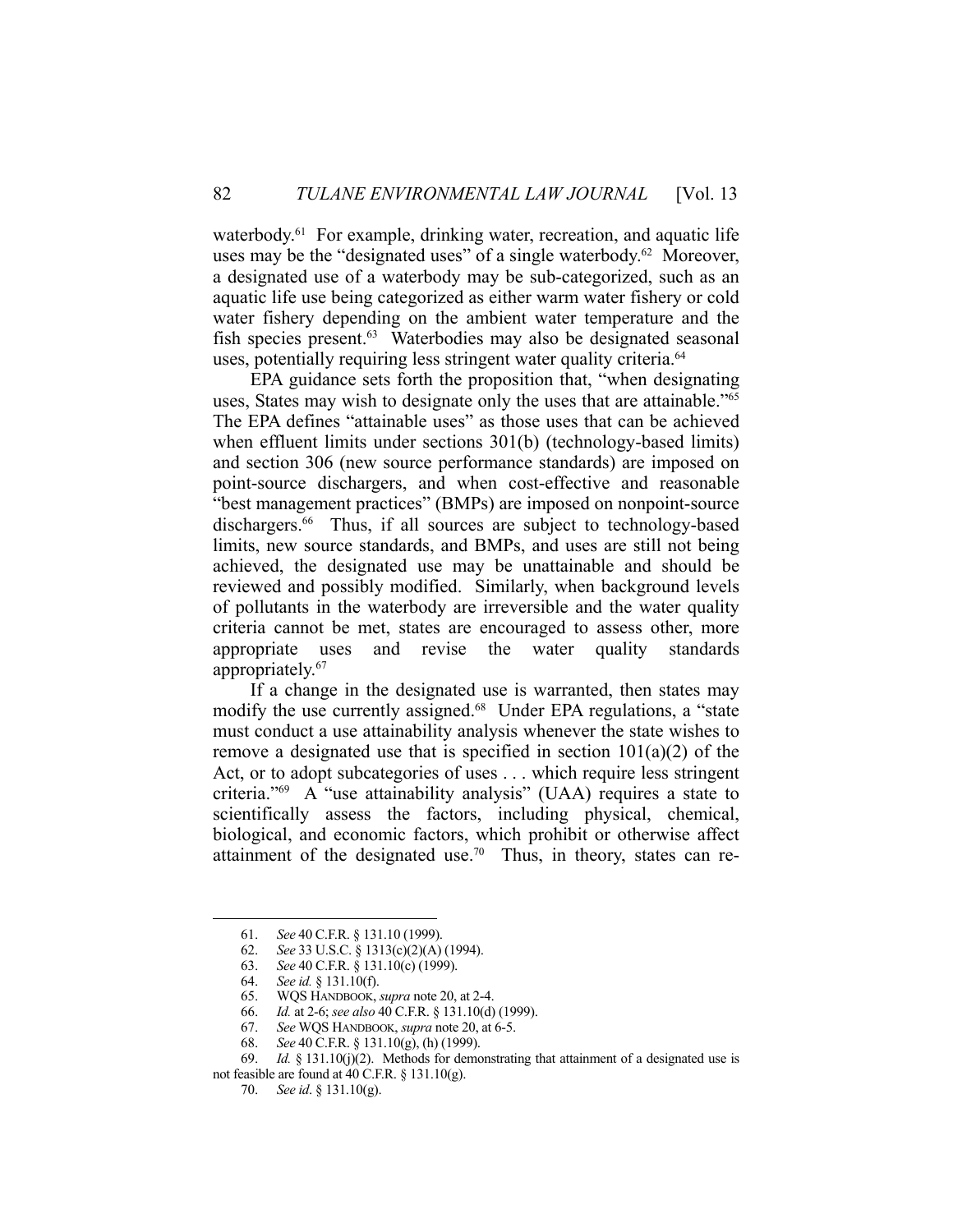waterbody.<sup>61</sup> For example, drinking water, recreation, and aquatic life uses may be the "designated uses" of a single waterbody.<sup>62</sup> Moreover, a designated use of a waterbody may be sub-categorized, such as an aquatic life use being categorized as either warm water fishery or cold water fishery depending on the ambient water temperature and the fish species present.<sup>63</sup> Waterbodies may also be designated seasonal uses, potentially requiring less stringent water quality criteria.<sup>64</sup>

 EPA guidance sets forth the proposition that, "when designating uses, States may wish to designate only the uses that are attainable."65 The EPA defines "attainable uses" as those uses that can be achieved when effluent limits under sections 301(b) (technology-based limits) and section 306 (new source performance standards) are imposed on point-source dischargers, and when cost-effective and reasonable "best management practices" (BMPs) are imposed on nonpoint-source dischargers.<sup>66</sup> Thus, if all sources are subject to technology-based limits, new source standards, and BMPs, and uses are still not being achieved, the designated use may be unattainable and should be reviewed and possibly modified. Similarly, when background levels of pollutants in the waterbody are irreversible and the water quality criteria cannot be met, states are encouraged to assess other, more appropriate uses and revise the water quality standards appropriately.67

 If a change in the designated use is warranted, then states may modify the use currently assigned.<sup>68</sup> Under EPA regulations, a "state" must conduct a use attainability analysis whenever the state wishes to remove a designated use that is specified in section  $101(a)(2)$  of the Act, or to adopt subcategories of uses . . . which require less stringent criteria."69 A "use attainability analysis" (UAA) requires a state to scientifically assess the factors, including physical, chemical, biological, and economic factors, which prohibit or otherwise affect attainment of the designated use.<sup>70</sup> Thus, in theory, states can re-

62. *See* 33 U.S.C. § 1313(c)(2)(A) (1994).

 <sup>61.</sup> *See* 40 C.F.R. § 131.10 (1999).

 <sup>63.</sup> *See* 40 C.F.R. § 131.10(c) (1999).

 <sup>64.</sup> *See id.* § 131.10(f).

 <sup>65.</sup> WQS HANDBOOK, *supra* note 20, at 2-4.

 <sup>66.</sup> *Id.* at 2-6; *see also* 40 C.F.R. § 131.10(d) (1999).

<sup>67.</sup> *See* WQS HANDBOOK, *supra* note 20, at 6-5.<br>68. *See* 40 C.F.R. § 131.10(g), (h) (1999).

 <sup>68.</sup> *See* 40 C.F.R. § 131.10(g), (h) (1999).

<sup>66.</sup> *Id.* § 131.10(j)(2). Methods for demonstrating that attainment of a designated use is  $\frac{Id}{d}$ . § 131.10(j)(2). Methods for demonstrating that attainment of a designated use is not feasible are found at 40 C.F.R. § 131.10(g).

 <sup>70.</sup> *See id*. § 131.10(g).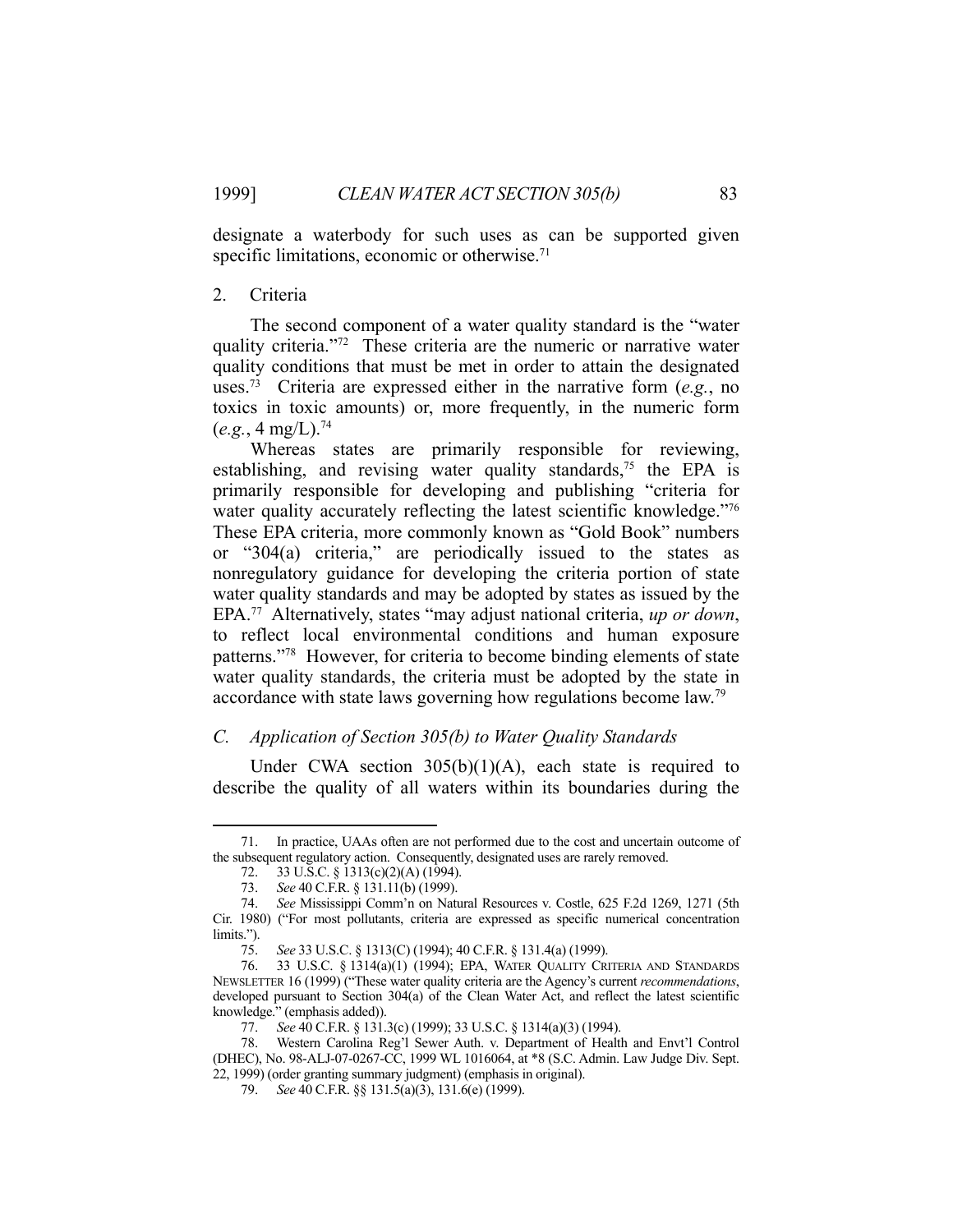designate a waterbody for such uses as can be supported given specific limitations, economic or otherwise.<sup>71</sup>

## 2. Criteria

 The second component of a water quality standard is the "water quality criteria."<sup>72</sup> These criteria are the numeric or narrative water quality conditions that must be met in order to attain the designated uses.73 Criteria are expressed either in the narrative form (*e.g.*, no toxics in toxic amounts) or, more frequently, in the numeric form  $(e.g., 4 mg/L).$ <sup>74</sup>

 Whereas states are primarily responsible for reviewing, establishing, and revising water quality standards,<sup>75</sup> the EPA is primarily responsible for developing and publishing "criteria for water quality accurately reflecting the latest scientific knowledge."<sup>76</sup> These EPA criteria, more commonly known as "Gold Book" numbers or "304(a) criteria," are periodically issued to the states as nonregulatory guidance for developing the criteria portion of state water quality standards and may be adopted by states as issued by the EPA.77 Alternatively, states "may adjust national criteria, *up or down*, to reflect local environmental conditions and human exposure patterns."78 However, for criteria to become binding elements of state water quality standards, the criteria must be adopted by the state in accordance with state laws governing how regulations become law.<sup>79</sup>

## *C. Application of Section 305(b) to Water Quality Standards*

Under CWA section  $305(b)(1)(A)$ , each state is required to describe the quality of all waters within its boundaries during the

 <sup>71.</sup> In practice, UAAs often are not performed due to the cost and uncertain outcome of the subsequent regulatory action. Consequently, designated uses are rarely removed.

 <sup>72. 33</sup> U.S.C. § 1313(c)(2)(A) (1994).

 <sup>73.</sup> *See* 40 C.F.R. § 131.11(b) (1999).

 <sup>74.</sup> *See* Mississippi Comm'n on Natural Resources v. Costle, 625 F.2d 1269, 1271 (5th Cir. 1980) ("For most pollutants, criteria are expressed as specific numerical concentration limits.").

 <sup>75.</sup> *See* 33 U.S.C. § 1313(C) (1994); 40 C.F.R. § 131.4(a) (1999).

 <sup>76. 33</sup> U.S.C. § 1314(a)(1) (1994); EPA, WATER QUALITY CRITERIA AND STANDARDS NEWSLETTER 16 (1999) ("These water quality criteria are the Agency's current *recommendations*, developed pursuant to Section 304(a) of the Clean Water Act, and reflect the latest scientific knowledge." (emphasis added)).

 <sup>77.</sup> *See* 40 C.F.R. § 131.3(c) (1999); 33 U.S.C. § 1314(a)(3) (1994).

 <sup>78.</sup> Western Carolina Reg'l Sewer Auth. v. Department of Health and Envt'l Control (DHEC), No. 98-ALJ-07-0267-CC, 1999 WL 1016064, at \*8 (S.C. Admin. Law Judge Div. Sept. 22, 1999) (order granting summary judgment) (emphasis in original).

 <sup>79.</sup> *See* 40 C.F.R. §§ 131.5(a)(3), 131.6(e) (1999).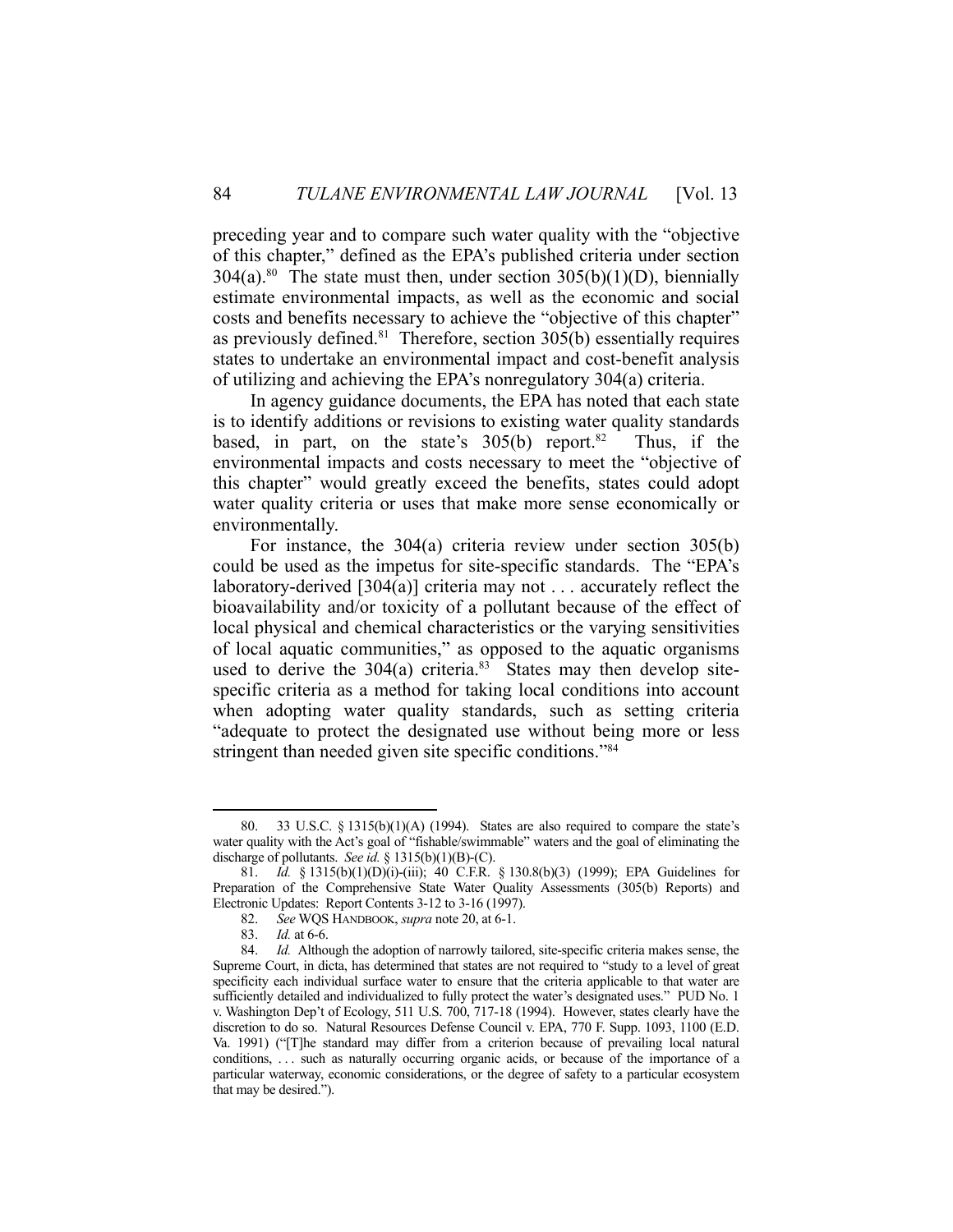preceding year and to compare such water quality with the "objective of this chapter," defined as the EPA's published criteria under section  $304(a).$ <sup>80</sup> The state must then, under section  $305(b)(1)(D)$ , biennially estimate environmental impacts, as well as the economic and social costs and benefits necessary to achieve the "objective of this chapter" as previously defined. $81$  Therefore, section 305(b) essentially requires states to undertake an environmental impact and cost-benefit analysis of utilizing and achieving the EPA's nonregulatory 304(a) criteria.

 In agency guidance documents, the EPA has noted that each state is to identify additions or revisions to existing water quality standards based, in part, on the state's  $305(b)$  report.<sup>82</sup> Thus, if the environmental impacts and costs necessary to meet the "objective of this chapter" would greatly exceed the benefits, states could adopt water quality criteria or uses that make more sense economically or environmentally.

 For instance, the 304(a) criteria review under section 305(b) could be used as the impetus for site-specific standards. The "EPA's laboratory-derived [304(a)] criteria may not . . . accurately reflect the bioavailability and/or toxicity of a pollutant because of the effect of local physical and chemical characteristics or the varying sensitivities of local aquatic communities," as opposed to the aquatic organisms used to derive the  $304(a)$  criteria.<sup>83</sup> States may then develop sitespecific criteria as a method for taking local conditions into account when adopting water quality standards, such as setting criteria "adequate to protect the designated use without being more or less stringent than needed given site specific conditions."<sup>84</sup>

<sup>80. 33</sup> U.S.C. § 1315(b)(1)(A) (1994). States are also required to compare the state's water quality with the Act's goal of "fishable/swimmable" waters and the goal of eliminating the discharge of pollutants. *See id.* § 1315(b)(1)(B)-(C).

 <sup>81.</sup> *Id.* § 1315(b)(1)(D)(i)-(iii); 40 C.F.R. § 130.8(b)(3) (1999); EPA Guidelines for Preparation of the Comprehensive State Water Quality Assessments (305(b) Reports) and Electronic Updates: Report Contents 3-12 to 3-16 (1997).

 <sup>82.</sup> *See* WQS HANDBOOK, *supra* note 20, at 6-1.

 <sup>83.</sup> *Id.* at 6-6.

 <sup>84.</sup> *Id.* Although the adoption of narrowly tailored, site-specific criteria makes sense, the Supreme Court, in dicta, has determined that states are not required to "study to a level of great specificity each individual surface water to ensure that the criteria applicable to that water are sufficiently detailed and individualized to fully protect the water's designated uses." PUD No. 1 v. Washington Dep't of Ecology, 511 U.S. 700, 717-18 (1994). However, states clearly have the discretion to do so. Natural Resources Defense Council v. EPA, 770 F. Supp. 1093, 1100 (E.D. Va. 1991) ("[T]he standard may differ from a criterion because of prevailing local natural conditions, . . . such as naturally occurring organic acids, or because of the importance of a particular waterway, economic considerations, or the degree of safety to a particular ecosystem that may be desired.").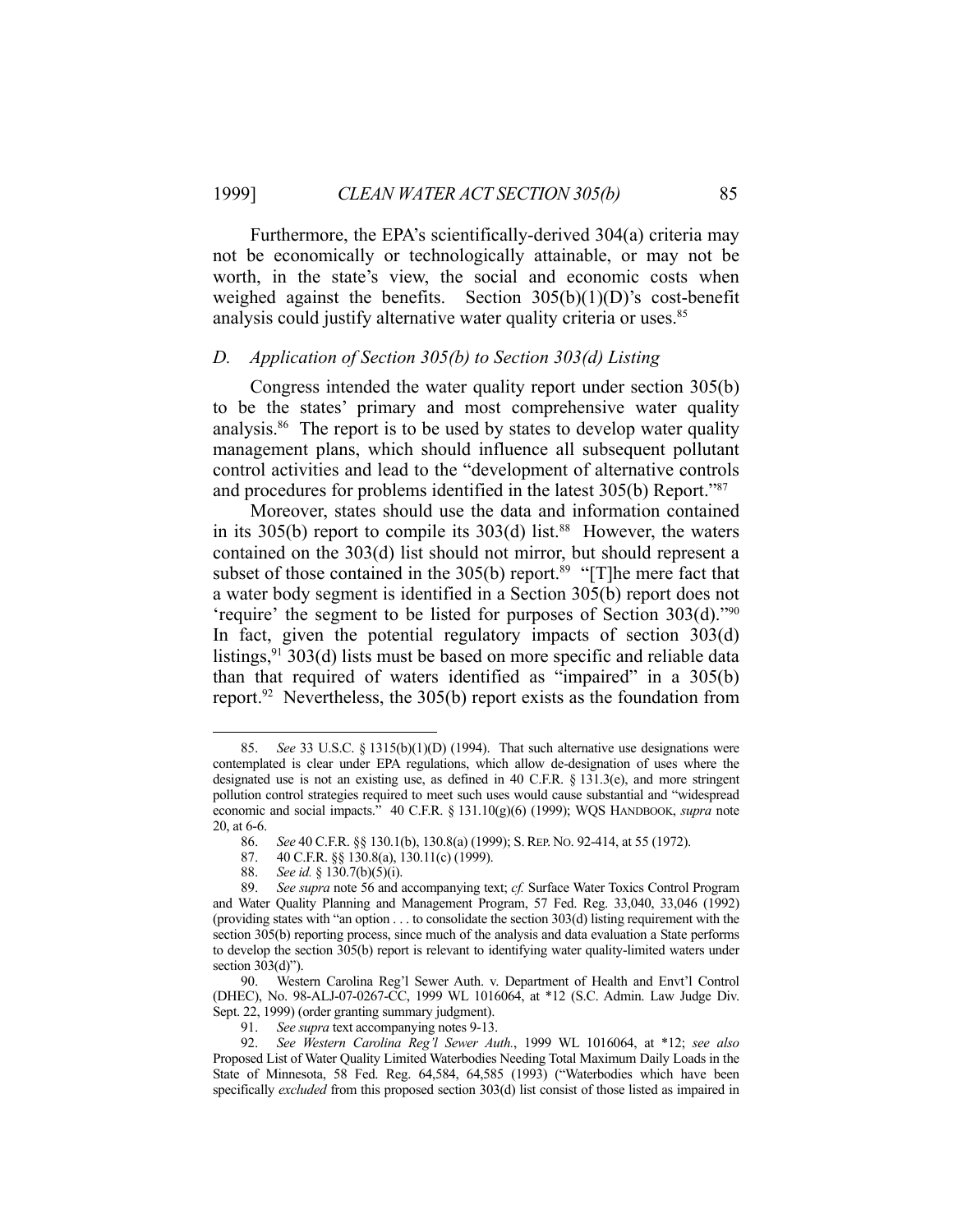Furthermore, the EPA's scientifically-derived 304(a) criteria may not be economically or technologically attainable, or may not be worth, in the state's view, the social and economic costs when weighed against the benefits. Section  $305(b)(1)(D)$ 's cost-benefit analysis could justify alternative water quality criteria or uses.<sup>85</sup>

## *D. Application of Section 305(b) to Section 303(d) Listing*

 Congress intended the water quality report under section 305(b) to be the states' primary and most comprehensive water quality analysis. $86$  The report is to be used by states to develop water quality management plans, which should influence all subsequent pollutant control activities and lead to the "development of alternative controls and procedures for problems identified in the latest 305(b) Report."87

 Moreover, states should use the data and information contained in its  $305(b)$  report to compile its  $303(d)$  list.<sup>88</sup> However, the waters contained on the 303(d) list should not mirror, but should represent a subset of those contained in the  $305(b)$  report.<sup>89</sup> "[T]he mere fact that a water body segment is identified in a Section 305(b) report does not 'require' the segment to be listed for purposes of Section 303(d)."90 In fact, given the potential regulatory impacts of section 303(d) listings,  $91$  303(d) lists must be based on more specific and reliable data than that required of waters identified as "impaired" in a 305(b) report.<sup>92</sup> Nevertheless, the  $305(b)$  report exists as the foundation from

 <sup>85.</sup> *See* 33 U.S.C. § 1315(b)(1)(D) (1994). That such alternative use designations were contemplated is clear under EPA regulations, which allow de-designation of uses where the designated use is not an existing use, as defined in 40 C.F.R. § 131.3(e), and more stringent pollution control strategies required to meet such uses would cause substantial and "widespread economic and social impacts." 40 C.F.R. § 131.10(g)(6) (1999); WQS HANDBOOK, *supra* note 20, at 6-6.

 <sup>86.</sup> *See* 40 C.F.R. §§ 130.1(b), 130.8(a) (1999); S. REP. NO. 92-414, at 55 (1972).

 <sup>87. 40</sup> C.F.R. §§ 130.8(a), 130.11(c) (1999).

 <sup>88.</sup> *See id.* § 130.7(b)(5)(i).

 <sup>89.</sup> *See supra* note 56 and accompanying text; *cf.* Surface Water Toxics Control Program and Water Quality Planning and Management Program, 57 Fed. Reg. 33,040, 33,046 (1992) (providing states with "an option . . . to consolidate the section 303(d) listing requirement with the section 305(b) reporting process, since much of the analysis and data evaluation a State performs to develop the section 305(b) report is relevant to identifying water quality-limited waters under section  $303(d)$ ").

 <sup>90.</sup> Western Carolina Reg'l Sewer Auth. v. Department of Health and Envt'l Control (DHEC), No. 98-ALJ-07-0267-CC, 1999 WL 1016064, at \*12 (S.C. Admin. Law Judge Div. Sept. 22, 1999) (order granting summary judgment).

 <sup>91.</sup> *See supra* text accompanying notes 9-13.

 <sup>92.</sup> *See Western Carolina Reg'l Sewer Auth.*, 1999 WL 1016064, at \*12; *see also* Proposed List of Water Quality Limited Waterbodies Needing Total Maximum Daily Loads in the State of Minnesota, 58 Fed. Reg. 64,584, 64,585 (1993) ("Waterbodies which have been specifically *excluded* from this proposed section 303(d) list consist of those listed as impaired in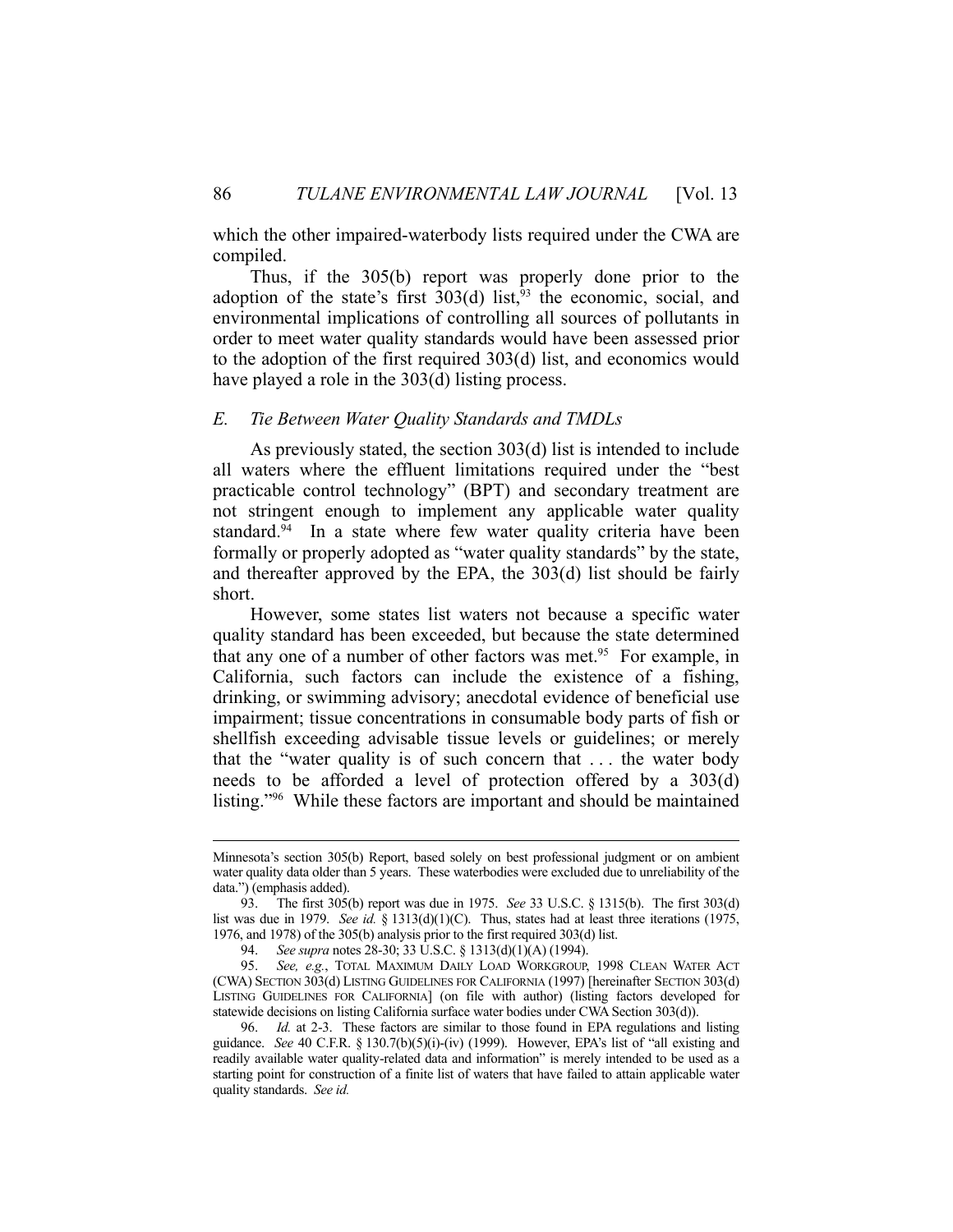which the other impaired-waterbody lists required under the CWA are compiled.

 Thus, if the 305(b) report was properly done prior to the adoption of the state's first  $303(d)$  list,<sup>93</sup> the economic, social, and environmental implications of controlling all sources of pollutants in order to meet water quality standards would have been assessed prior to the adoption of the first required 303(d) list, and economics would have played a role in the 303(d) listing process.

## *E. Tie Between Water Quality Standards and TMDLs*

 As previously stated, the section 303(d) list is intended to include all waters where the effluent limitations required under the "best practicable control technology" (BPT) and secondary treatment are not stringent enough to implement any applicable water quality standard.<sup>94</sup> In a state where few water quality criteria have been formally or properly adopted as "water quality standards" by the state, and thereafter approved by the EPA, the 303(d) list should be fairly short.

 However, some states list waters not because a specific water quality standard has been exceeded, but because the state determined that any one of a number of other factors was met.<sup>95</sup> For example, in California, such factors can include the existence of a fishing, drinking, or swimming advisory; anecdotal evidence of beneficial use impairment; tissue concentrations in consumable body parts of fish or shellfish exceeding advisable tissue levels or guidelines; or merely that the "water quality is of such concern that . . . the water body needs to be afforded a level of protection offered by a 303(d) listing."96 While these factors are important and should be maintained

Minnesota's section 305(b) Report, based solely on best professional judgment or on ambient water quality data older than 5 years. These waterbodies were excluded due to unreliability of the data.") (emphasis added).

 <sup>93.</sup> The first 305(b) report was due in 1975. *See* 33 U.S.C. § 1315(b). The first 303(d) list was due in 1979. *See id.* § 1313(d)(1)(C). Thus, states had at least three iterations (1975, 1976, and 1978) of the 305(b) analysis prior to the first required 303(d) list.

 <sup>94.</sup> *See supra* notes 28-30; 33 U.S.C. § 1313(d)(1)(A) (1994).

 <sup>95.</sup> *See, e.g.*, TOTAL MAXIMUM DAILY LOAD WORKGROUP, 1998 CLEAN WATER ACT (CWA) SECTION 303(d) LISTING GUIDELINES FOR CALIFORNIA (1997) [hereinafter SECTION 303(d) LISTING GUIDELINES FOR CALIFORNIA] (on file with author) (listing factors developed for statewide decisions on listing California surface water bodies under CWA Section 303(d)).

 <sup>96.</sup> *Id.* at 2-3. These factors are similar to those found in EPA regulations and listing guidance. *See* 40 C.F.R. § 130.7(b)(5)(i)-(iv) (1999). However, EPA's list of "all existing and readily available water quality-related data and information" is merely intended to be used as a starting point for construction of a finite list of waters that have failed to attain applicable water quality standards. *See id.*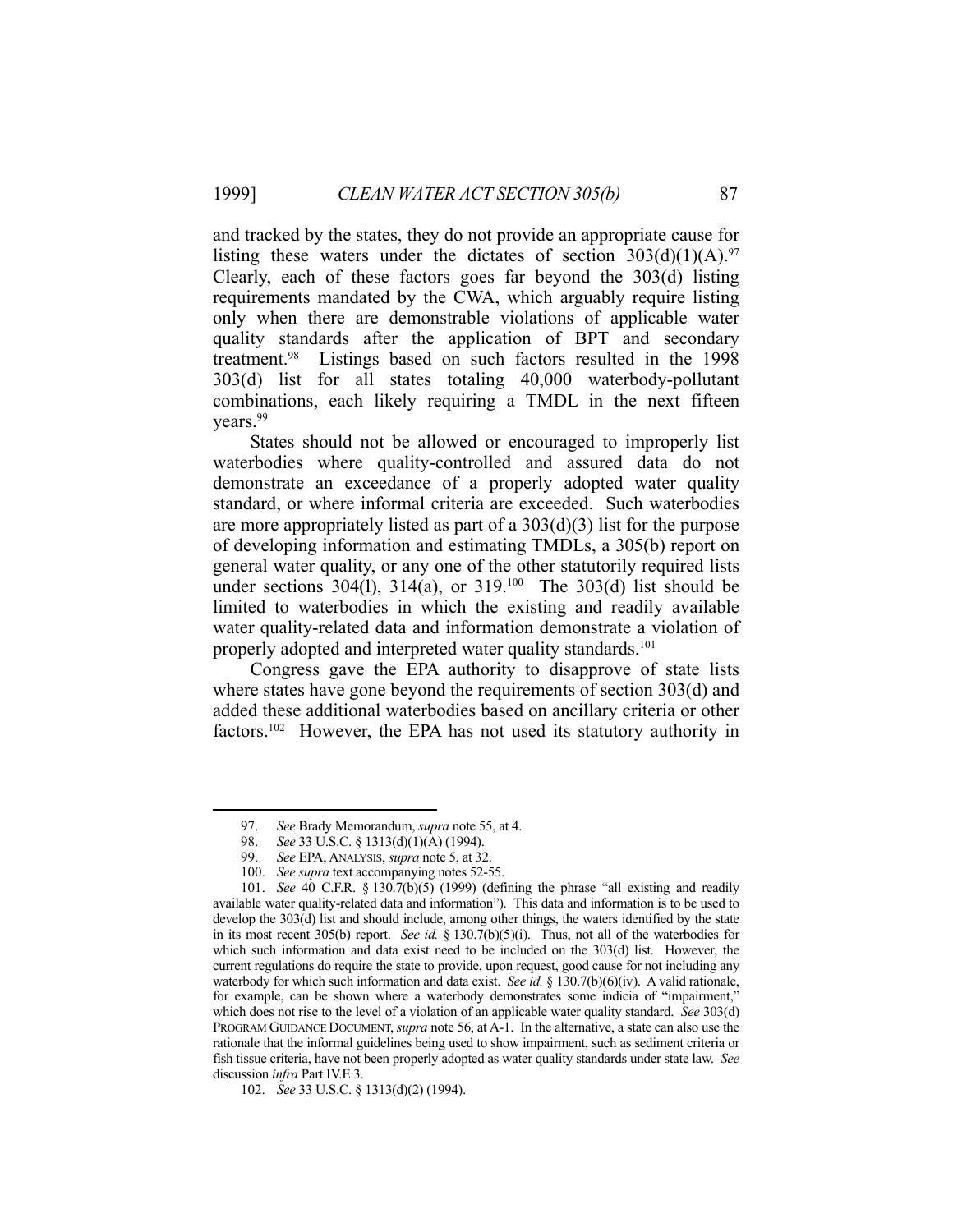and tracked by the states, they do not provide an appropriate cause for listing these waters under the dictates of section  $303(d)(1)(A).^{97}$ Clearly, each of these factors goes far beyond the 303(d) listing requirements mandated by the CWA, which arguably require listing only when there are demonstrable violations of applicable water quality standards after the application of BPT and secondary treatment.98 Listings based on such factors resulted in the 1998 303(d) list for all states totaling 40,000 waterbody-pollutant combinations, each likely requiring a TMDL in the next fifteen vears.<sup>99</sup>

 States should not be allowed or encouraged to improperly list waterbodies where quality-controlled and assured data do not demonstrate an exceedance of a properly adopted water quality standard, or where informal criteria are exceeded. Such waterbodies are more appropriately listed as part of a 303(d)(3) list for the purpose of developing information and estimating TMDLs, a 305(b) report on general water quality, or any one of the other statutorily required lists under sections  $304(1)$ ,  $314(a)$ , or  $319<sup>100</sup>$  The  $303(d)$  list should be limited to waterbodies in which the existing and readily available water quality-related data and information demonstrate a violation of properly adopted and interpreted water quality standards.<sup>101</sup>

 Congress gave the EPA authority to disapprove of state lists where states have gone beyond the requirements of section 303(d) and added these additional waterbodies based on ancillary criteria or other factors.102 However, the EPA has not used its statutory authority in

 <sup>97.</sup> *See* Brady Memorandum, *supra* note 55, at 4.

 <sup>98.</sup> *See* 33 U.S.C. § 1313(d)(1)(A) (1994).

 <sup>99.</sup> *See* EPA, ANALYSIS, *supra* note 5, at 32.

 <sup>100.</sup> *See supra* text accompanying notes 52-55.

 <sup>101.</sup> *See* 40 C.F.R. § 130.7(b)(5) (1999) (defining the phrase "all existing and readily available water quality-related data and information"). This data and information is to be used to develop the 303(d) list and should include, among other things, the waters identified by the state in its most recent 305(b) report. *See id.* § 130.7(b)(5)(i). Thus, not all of the waterbodies for which such information and data exist need to be included on the 303(d) list. However, the current regulations do require the state to provide, upon request, good cause for not including any waterbody for which such information and data exist. *See id.* § 130.7(b)(6)(iv). A valid rationale, for example, can be shown where a waterbody demonstrates some indicia of "impairment," which does not rise to the level of a violation of an applicable water quality standard. *See* 303(d) PROGRAM GUIDANCE DOCUMENT, *supra* note 56, at A-1. In the alternative, a state can also use the rationale that the informal guidelines being used to show impairment, such as sediment criteria or fish tissue criteria, have not been properly adopted as water quality standards under state law. *See* discussion *infra* Part IV.E.3.

 <sup>102.</sup> *See* 33 U.S.C. § 1313(d)(2) (1994).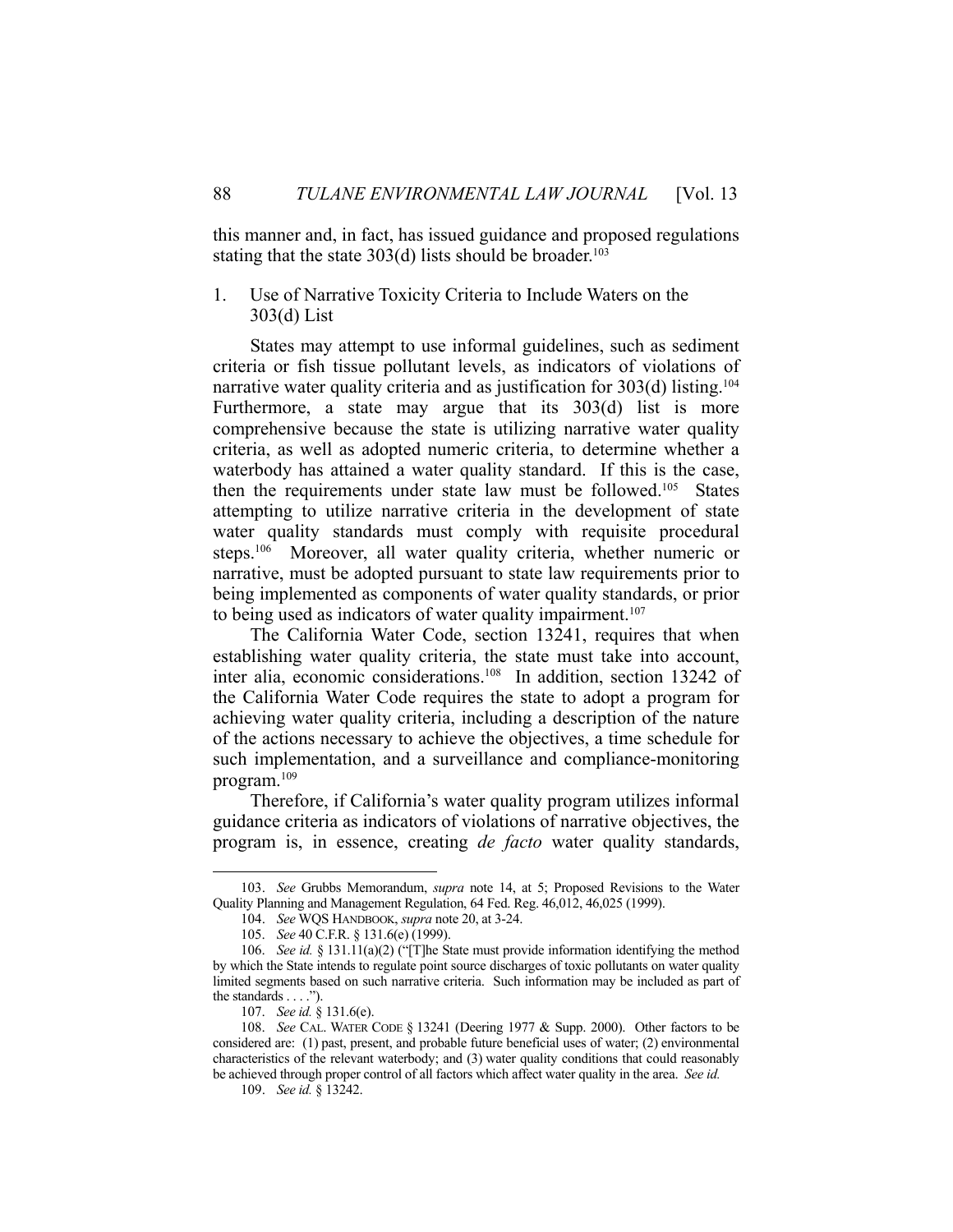this manner and, in fact, has issued guidance and proposed regulations stating that the state  $303(d)$  lists should be broader.<sup>103</sup>

# 1. Use of Narrative Toxicity Criteria to Include Waters on the 303(d) List

 States may attempt to use informal guidelines, such as sediment criteria or fish tissue pollutant levels, as indicators of violations of narrative water quality criteria and as justification for 303(d) listing.<sup>104</sup> Furthermore, a state may argue that its 303(d) list is more comprehensive because the state is utilizing narrative water quality criteria, as well as adopted numeric criteria, to determine whether a waterbody has attained a water quality standard. If this is the case, then the requirements under state law must be followed.105 States attempting to utilize narrative criteria in the development of state water quality standards must comply with requisite procedural steps.106 Moreover, all water quality criteria, whether numeric or narrative, must be adopted pursuant to state law requirements prior to being implemented as components of water quality standards, or prior to being used as indicators of water quality impairment.<sup>107</sup>

 The California Water Code, section 13241, requires that when establishing water quality criteria, the state must take into account, inter alia, economic considerations.108 In addition, section 13242 of the California Water Code requires the state to adopt a program for achieving water quality criteria, including a description of the nature of the actions necessary to achieve the objectives, a time schedule for such implementation, and a surveillance and compliance-monitoring program.109

 Therefore, if California's water quality program utilizes informal guidance criteria as indicators of violations of narrative objectives, the program is, in essence, creating *de facto* water quality standards,

 <sup>103.</sup> *See* Grubbs Memorandum, *supra* note 14, at 5; Proposed Revisions to the Water Quality Planning and Management Regulation, 64 Fed. Reg. 46,012, 46,025 (1999).

 <sup>104.</sup> *See* WQS HANDBOOK, *supra* note 20, at 3-24.

 <sup>105.</sup> *See* 40 C.F.R. § 131.6(e) (1999).

 <sup>106.</sup> *See id.* § 131.11(a)(2) ("[T]he State must provide information identifying the method by which the State intends to regulate point source discharges of toxic pollutants on water quality limited segments based on such narrative criteria. Such information may be included as part of the standards . . . .").

 <sup>107.</sup> *See id.* § 131.6(e).

 <sup>108.</sup> *See* CAL. WATER CODE § 13241 (Deering 1977 & Supp. 2000). Other factors to be considered are: (1) past, present, and probable future beneficial uses of water; (2) environmental characteristics of the relevant waterbody; and (3) water quality conditions that could reasonably be achieved through proper control of all factors which affect water quality in the area. *See id.*

 <sup>109.</sup> *See id.* § 13242.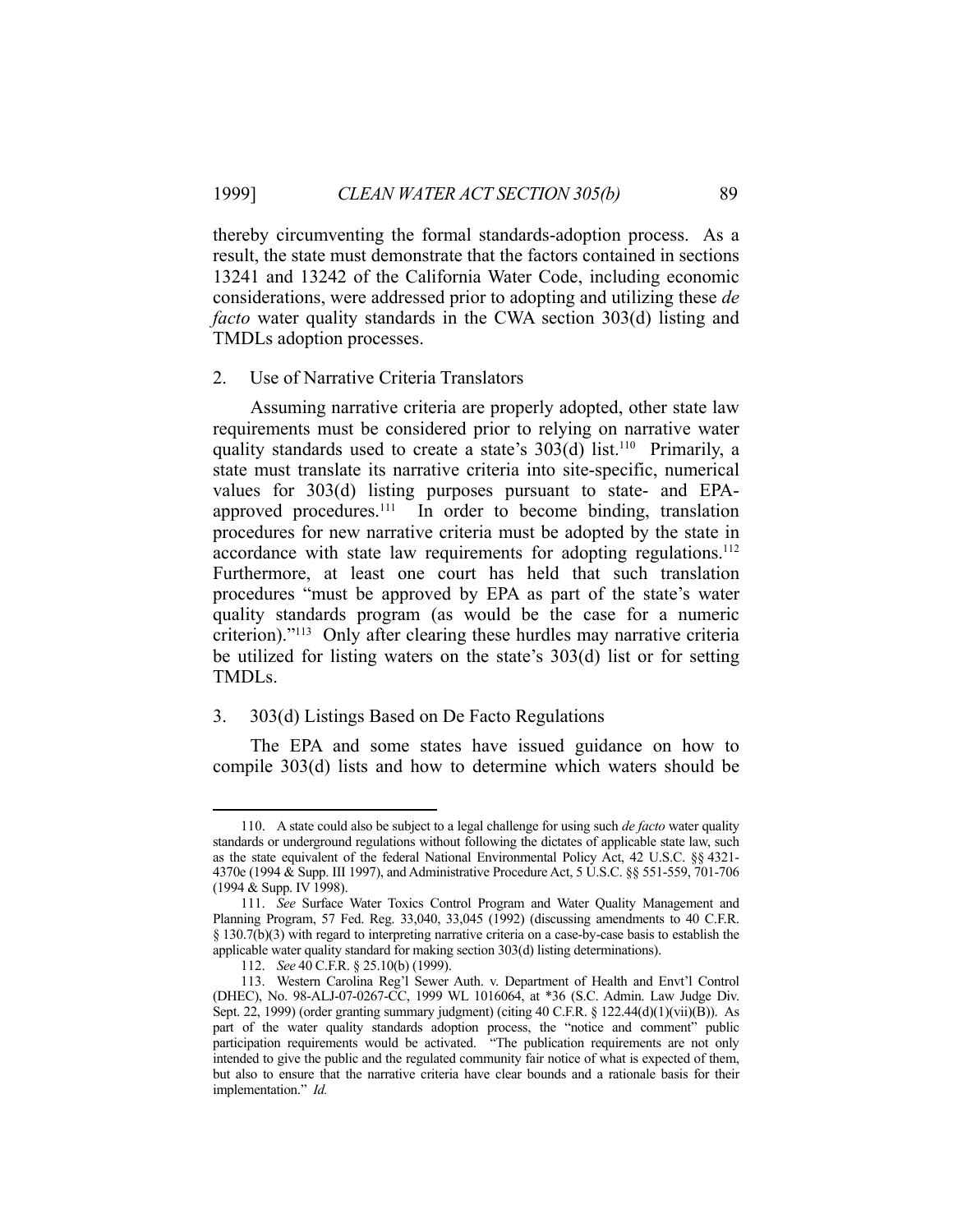thereby circumventing the formal standards-adoption process. As a result, the state must demonstrate that the factors contained in sections 13241 and 13242 of the California Water Code, including economic considerations, were addressed prior to adopting and utilizing these *de facto* water quality standards in the CWA section 303(d) listing and TMDLs adoption processes.

#### 2. Use of Narrative Criteria Translators

 Assuming narrative criteria are properly adopted, other state law requirements must be considered prior to relying on narrative water quality standards used to create a state's  $303(d)$  list.<sup>110</sup> Primarily, a state must translate its narrative criteria into site-specific, numerical values for 303(d) listing purposes pursuant to state- and EPAapproved procedures.<sup>111</sup> In order to become binding, translation procedures for new narrative criteria must be adopted by the state in accordance with state law requirements for adopting regulations.<sup>112</sup> Furthermore, at least one court has held that such translation procedures "must be approved by EPA as part of the state's water quality standards program (as would be the case for a numeric criterion)."113 Only after clearing these hurdles may narrative criteria be utilized for listing waters on the state's 303(d) list or for setting TMDLs.

#### 3. 303(d) Listings Based on De Facto Regulations

 The EPA and some states have issued guidance on how to compile 303(d) lists and how to determine which waters should be

 <sup>110.</sup> A state could also be subject to a legal challenge for using such *de facto* water quality standards or underground regulations without following the dictates of applicable state law, such as the state equivalent of the federal National Environmental Policy Act, 42 U.S.C. §§ 4321- 4370e (1994 & Supp. III 1997), and Administrative Procedure Act, 5 U.S.C. §§ 551-559, 701-706 (1994 & Supp. IV 1998).

 <sup>111.</sup> *See* Surface Water Toxics Control Program and Water Quality Management and Planning Program, 57 Fed. Reg. 33,040, 33,045 (1992) (discussing amendments to 40 C.F.R. § 130.7(b)(3) with regard to interpreting narrative criteria on a case-by-case basis to establish the applicable water quality standard for making section 303(d) listing determinations).

 <sup>112.</sup> *See* 40 C.F.R. § 25.10(b) (1999).

 <sup>113.</sup> Western Carolina Reg'l Sewer Auth. v. Department of Health and Envt'l Control (DHEC), No. 98-ALJ-07-0267-CC, 1999 WL 1016064, at \*36 (S.C. Admin. Law Judge Div. Sept. 22, 1999) (order granting summary judgment) (citing 40 C.F.R. § 122.44(d)(1)(vii)(B)). As part of the water quality standards adoption process, the "notice and comment" public participation requirements would be activated. "The publication requirements are not only intended to give the public and the regulated community fair notice of what is expected of them, but also to ensure that the narrative criteria have clear bounds and a rationale basis for their implementation." *Id.*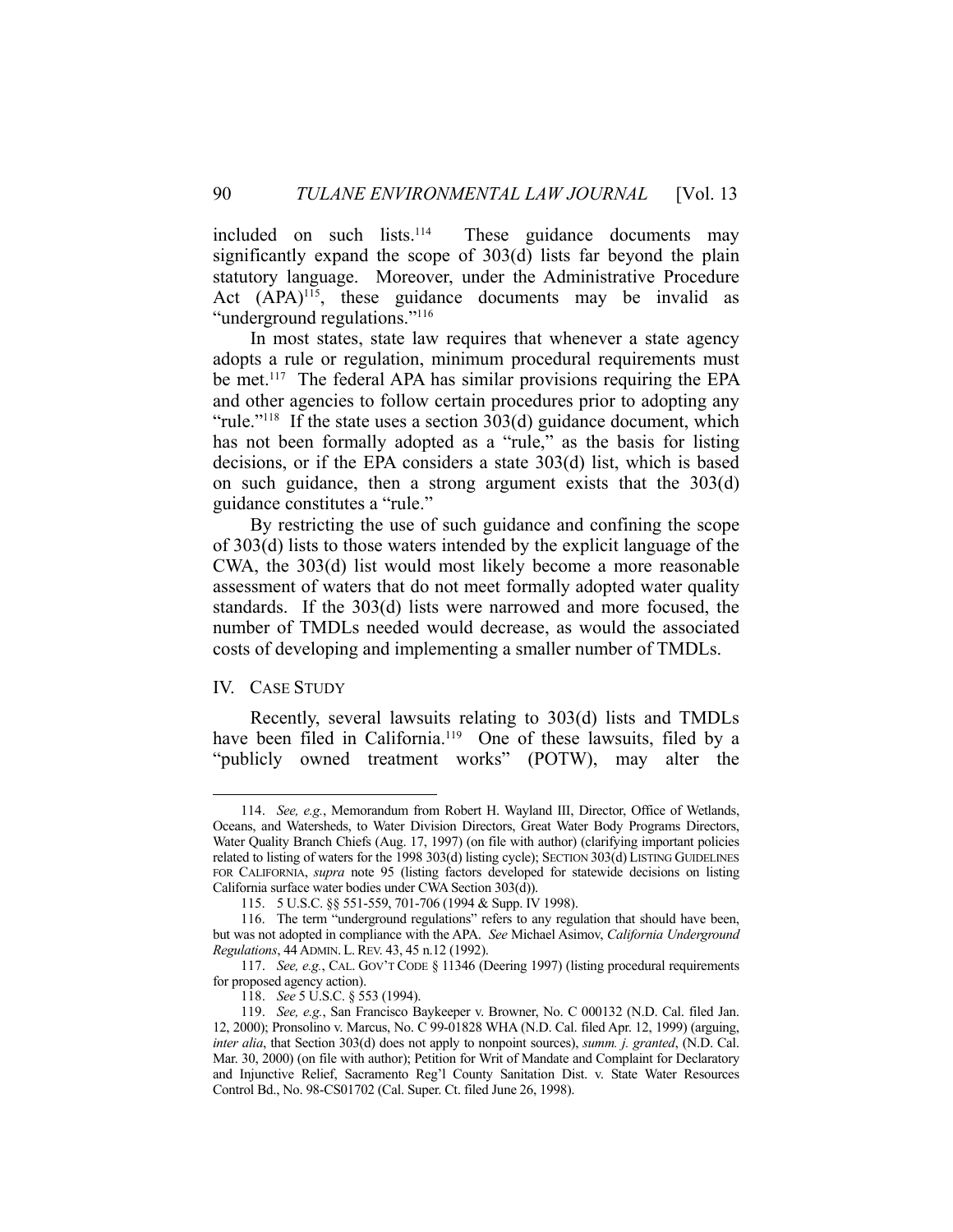included on such lists. $114$  These guidance documents may significantly expand the scope of 303(d) lists far beyond the plain statutory language. Moreover, under the Administrative Procedure Act (APA)<sup>115</sup>, these guidance documents may be invalid as "underground regulations."116

 In most states, state law requires that whenever a state agency adopts a rule or regulation, minimum procedural requirements must be met.<sup>117</sup> The federal APA has similar provisions requiring the EPA and other agencies to follow certain procedures prior to adopting any "rule."<sup>118</sup> If the state uses a section 303(d) guidance document, which has not been formally adopted as a "rule," as the basis for listing decisions, or if the EPA considers a state 303(d) list, which is based on such guidance, then a strong argument exists that the 303(d) guidance constitutes a "rule."

By restricting the use of such guidance and confining the scope of 303(d) lists to those waters intended by the explicit language of the CWA, the 303(d) list would most likely become a more reasonable assessment of waters that do not meet formally adopted water quality standards. If the 303(d) lists were narrowed and more focused, the number of TMDLs needed would decrease, as would the associated costs of developing and implementing a smaller number of TMDLs.

#### IV. CASE STUDY

1

 Recently, several lawsuits relating to 303(d) lists and TMDLs have been filed in California.<sup>119</sup> One of these lawsuits, filed by a "publicly owned treatment works" (POTW), may alter the

 <sup>114.</sup> *See, e.g.*, Memorandum from Robert H. Wayland III, Director, Office of Wetlands, Oceans, and Watersheds, to Water Division Directors, Great Water Body Programs Directors, Water Quality Branch Chiefs (Aug. 17, 1997) (on file with author) (clarifying important policies related to listing of waters for the 1998 303(d) listing cycle); SECTION 303(d) LISTING GUIDELINES FOR CALIFORNIA, *supra* note 95 (listing factors developed for statewide decisions on listing California surface water bodies under CWA Section 303(d)).

 <sup>115. 5</sup> U.S.C. §§ 551-559, 701-706 (1994 & Supp. IV 1998).

 <sup>116.</sup> The term "underground regulations" refers to any regulation that should have been, but was not adopted in compliance with the APA. *See* Michael Asimov, *California Underground Regulations*, 44 ADMIN. L.REV. 43, 45 n.12 (1992).

 <sup>117.</sup> *See, e.g.*, CAL. GOV'T CODE § 11346 (Deering 1997) (listing procedural requirements for proposed agency action).

 <sup>118.</sup> *See* 5 U.S.C. § 553 (1994).

 <sup>119.</sup> *See, e.g.*, San Francisco Baykeeper v. Browner, No. C 000132 (N.D. Cal. filed Jan. 12, 2000); Pronsolino v. Marcus, No. C 99-01828 WHA (N.D. Cal. filed Apr. 12, 1999) (arguing, *inter alia*, that Section 303(d) does not apply to nonpoint sources), *summ. j. granted*, (N.D. Cal. Mar. 30, 2000) (on file with author); Petition for Writ of Mandate and Complaint for Declaratory and Injunctive Relief, Sacramento Reg'l County Sanitation Dist. v. State Water Resources Control Bd., No. 98-CS01702 (Cal. Super. Ct. filed June 26, 1998).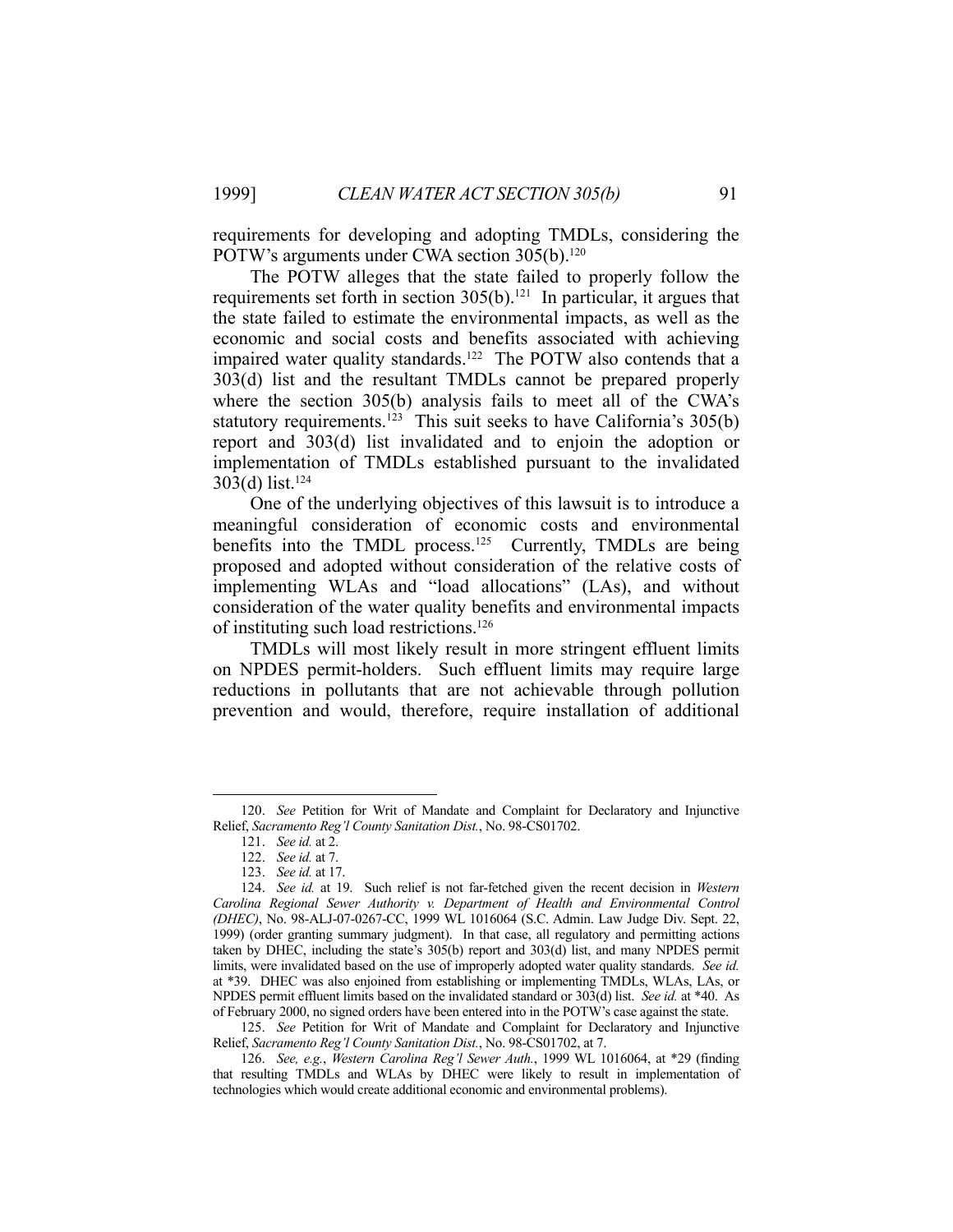requirements for developing and adopting TMDLs, considering the POTW's arguments under CWA section 305(b).<sup>120</sup>

 The POTW alleges that the state failed to properly follow the requirements set forth in section  $305(b)$ .<sup>121</sup> In particular, it argues that the state failed to estimate the environmental impacts, as well as the economic and social costs and benefits associated with achieving impaired water quality standards.<sup>122</sup> The POTW also contends that a 303(d) list and the resultant TMDLs cannot be prepared properly where the section 305(b) analysis fails to meet all of the CWA's statutory requirements.<sup>123</sup> This suit seeks to have California's  $305(b)$ report and 303(d) list invalidated and to enjoin the adoption or implementation of TMDLs established pursuant to the invalidated  $303(d)$  list.<sup>124</sup>

 One of the underlying objectives of this lawsuit is to introduce a meaningful consideration of economic costs and environmental benefits into the TMDL process.<sup>125</sup> Currently, TMDLs are being proposed and adopted without consideration of the relative costs of implementing WLAs and "load allocations" (LAs), and without consideration of the water quality benefits and environmental impacts of instituting such load restrictions.126

 TMDLs will most likely result in more stringent effluent limits on NPDES permit-holders. Such effluent limits may require large reductions in pollutants that are not achievable through pollution prevention and would, therefore, require installation of additional

 <sup>120.</sup> *See* Petition for Writ of Mandate and Complaint for Declaratory and Injunctive Relief, *Sacramento Reg'l County Sanitation Dist.*, No. 98-CS01702.

 <sup>121.</sup> *See id.* at 2.

 <sup>122.</sup> *See id.* at 7.

 <sup>123.</sup> *See id.* at 17.

 <sup>124.</sup> *See id.* at 19. Such relief is not far-fetched given the recent decision in *Western Carolina Regional Sewer Authority v. Department of Health and Environmental Control (DHEC)*, No. 98-ALJ-07-0267-CC, 1999 WL 1016064 (S.C. Admin. Law Judge Div. Sept. 22, 1999) (order granting summary judgment). In that case, all regulatory and permitting actions taken by DHEC, including the state's 305(b) report and 303(d) list, and many NPDES permit limits, were invalidated based on the use of improperly adopted water quality standards. *See id.* at \*39. DHEC was also enjoined from establishing or implementing TMDLs, WLAs, LAs, or NPDES permit effluent limits based on the invalidated standard or 303(d) list. *See id.* at \*40. As of February 2000, no signed orders have been entered into in the POTW's case against the state.

 <sup>125.</sup> *See* Petition for Writ of Mandate and Complaint for Declaratory and Injunctive Relief, *Sacramento Reg'l County Sanitation Dist.*, No. 98-CS01702, at 7.

 <sup>126.</sup> *See, e.g.*, *Western Carolina Reg'l Sewer Auth.*, 1999 WL 1016064, at \*29 (finding that resulting TMDLs and WLAs by DHEC were likely to result in implementation of technologies which would create additional economic and environmental problems).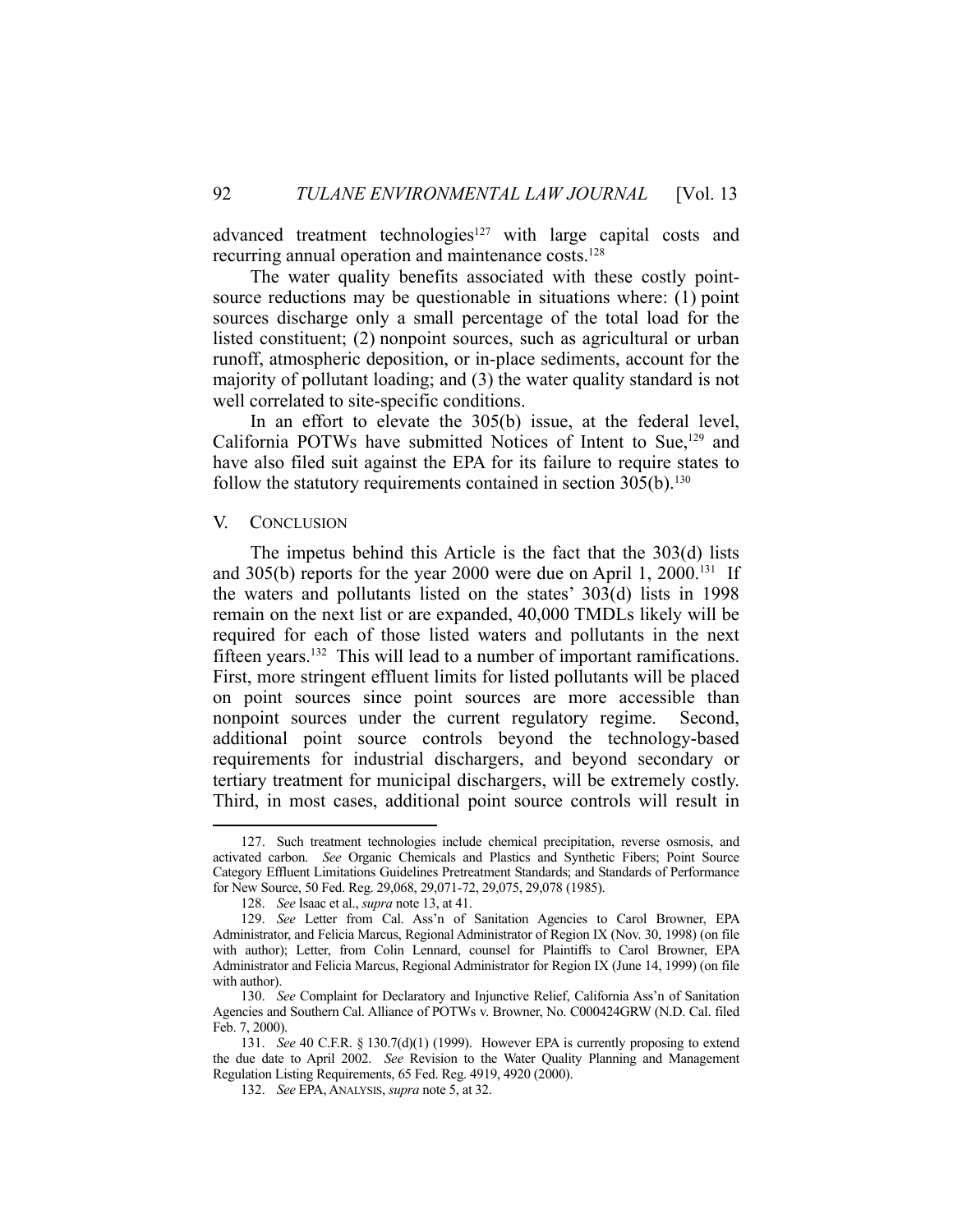advanced treatment technologies $127$  with large capital costs and recurring annual operation and maintenance costs.<sup>128</sup>

 The water quality benefits associated with these costly pointsource reductions may be questionable in situations where: (1) point sources discharge only a small percentage of the total load for the listed constituent; (2) nonpoint sources, such as agricultural or urban runoff, atmospheric deposition, or in-place sediments, account for the majority of pollutant loading; and (3) the water quality standard is not well correlated to site-specific conditions.

 In an effort to elevate the 305(b) issue, at the federal level, California POTWs have submitted Notices of Intent to Sue,<sup>129</sup> and have also filed suit against the EPA for its failure to require states to follow the statutory requirements contained in section  $305(b)$ .<sup>130</sup>

#### V. CONCLUSION

1

 The impetus behind this Article is the fact that the 303(d) lists and  $305(b)$  reports for the year 2000 were due on April 1, 2000.<sup>131</sup> If the waters and pollutants listed on the states' 303(d) lists in 1998 remain on the next list or are expanded, 40,000 TMDLs likely will be required for each of those listed waters and pollutants in the next fifteen years.<sup>132</sup> This will lead to a number of important ramifications. First, more stringent effluent limits for listed pollutants will be placed on point sources since point sources are more accessible than nonpoint sources under the current regulatory regime. Second, additional point source controls beyond the technology-based requirements for industrial dischargers, and beyond secondary or tertiary treatment for municipal dischargers, will be extremely costly. Third, in most cases, additional point source controls will result in

 <sup>127.</sup> Such treatment technologies include chemical precipitation, reverse osmosis, and activated carbon. *See* Organic Chemicals and Plastics and Synthetic Fibers; Point Source Category Effluent Limitations Guidelines Pretreatment Standards; and Standards of Performance for New Source, 50 Fed. Reg. 29,068, 29,071-72, 29,075, 29,078 (1985).

 <sup>128.</sup> *See* Isaac et al., *supra* note 13, at 41.

 <sup>129.</sup> *See* Letter from Cal. Ass'n of Sanitation Agencies to Carol Browner, EPA Administrator, and Felicia Marcus, Regional Administrator of Region IX (Nov. 30, 1998) (on file with author); Letter, from Colin Lennard, counsel for Plaintiffs to Carol Browner, EPA Administrator and Felicia Marcus, Regional Administrator for Region IX (June 14, 1999) (on file with author).

 <sup>130.</sup> *See* Complaint for Declaratory and Injunctive Relief, California Ass'n of Sanitation Agencies and Southern Cal. Alliance of POTWs v. Browner, No. C000424GRW (N.D. Cal. filed Feb. 7, 2000).

 <sup>131.</sup> *See* 40 C.F.R. § 130.7(d)(1) (1999). However EPA is currently proposing to extend the due date to April 2002. *See* Revision to the Water Quality Planning and Management Regulation Listing Requirements, 65 Fed. Reg. 4919, 4920 (2000).

 <sup>132.</sup> *See* EPA, ANALYSIS, *supra* note 5, at 32.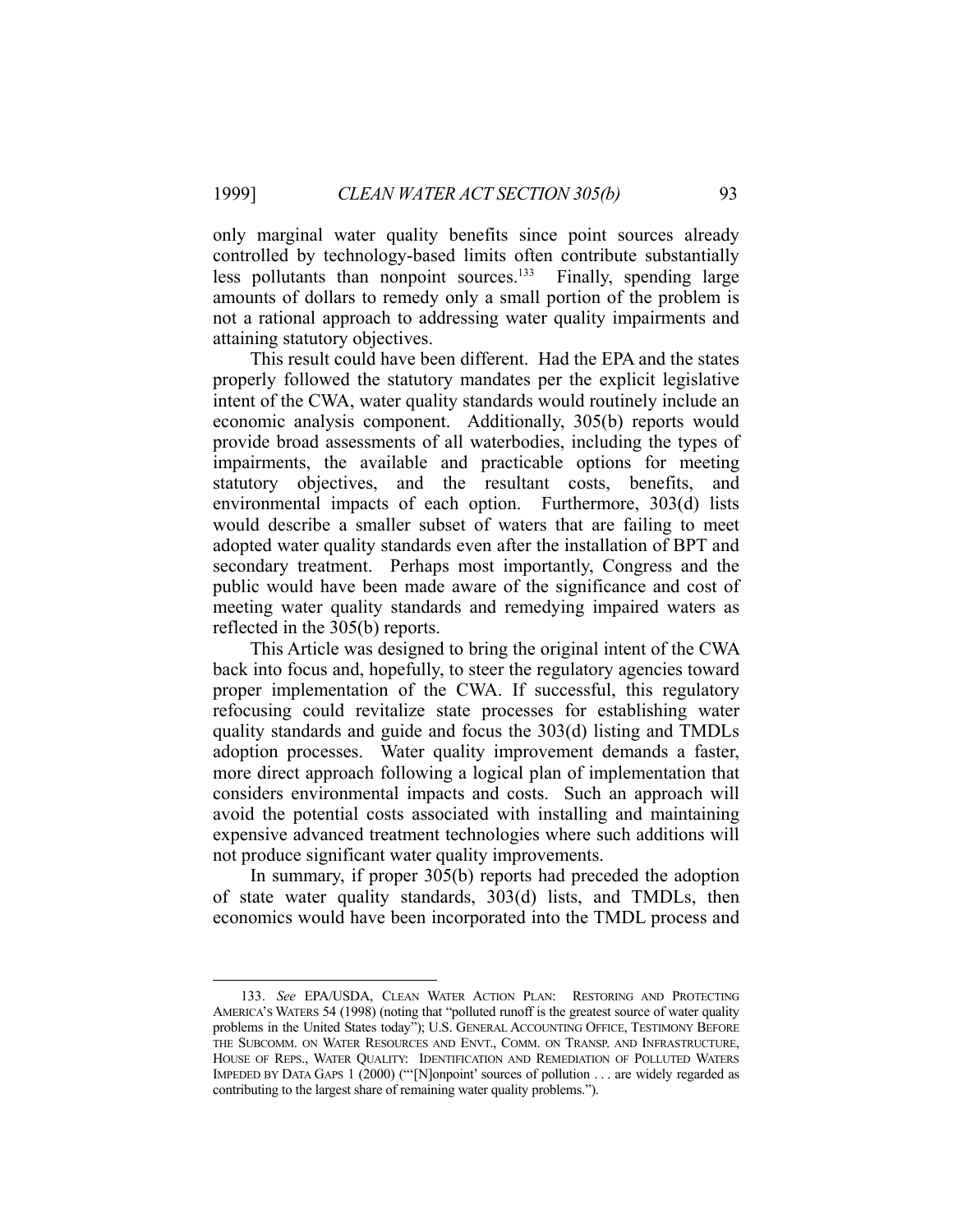only marginal water quality benefits since point sources already controlled by technology-based limits often contribute substantially less pollutants than nonpoint sources.<sup>133</sup> Finally, spending large amounts of dollars to remedy only a small portion of the problem is not a rational approach to addressing water quality impairments and attaining statutory objectives.

 This result could have been different. Had the EPA and the states properly followed the statutory mandates per the explicit legislative intent of the CWA, water quality standards would routinely include an economic analysis component. Additionally, 305(b) reports would provide broad assessments of all waterbodies, including the types of impairments, the available and practicable options for meeting statutory objectives, and the resultant costs, benefits, and environmental impacts of each option. Furthermore, 303(d) lists would describe a smaller subset of waters that are failing to meet adopted water quality standards even after the installation of BPT and secondary treatment. Perhaps most importantly, Congress and the public would have been made aware of the significance and cost of meeting water quality standards and remedying impaired waters as reflected in the 305(b) reports.

 This Article was designed to bring the original intent of the CWA back into focus and, hopefully, to steer the regulatory agencies toward proper implementation of the CWA. If successful, this regulatory refocusing could revitalize state processes for establishing water quality standards and guide and focus the 303(d) listing and TMDLs adoption processes. Water quality improvement demands a faster, more direct approach following a logical plan of implementation that considers environmental impacts and costs. Such an approach will avoid the potential costs associated with installing and maintaining expensive advanced treatment technologies where such additions will not produce significant water quality improvements.

 In summary, if proper 305(b) reports had preceded the adoption of state water quality standards, 303(d) lists, and TMDLs, then economics would have been incorporated into the TMDL process and

 <sup>133.</sup> *See* EPA/USDA, CLEAN WATER ACTION PLAN: RESTORING AND PROTECTING AMERICA'S WATERS 54 (1998) (noting that "polluted runoff is the greatest source of water quality problems in the United States today"); U.S. GENERAL ACCOUNTING OFFICE, TESTIMONY BEFORE THE SUBCOMM. ON WATER RESOURCES AND ENVT., COMM. ON TRANSP. AND INFRASTRUCTURE, HOUSE OF REPS., WATER QUALITY: IDENTIFICATION AND REMEDIATION OF POLLUTED WATERS IMPEDED BY DATA GAPS 1 (2000) ("'[N]onpoint' sources of pollution . . . are widely regarded as contributing to the largest share of remaining water quality problems.").